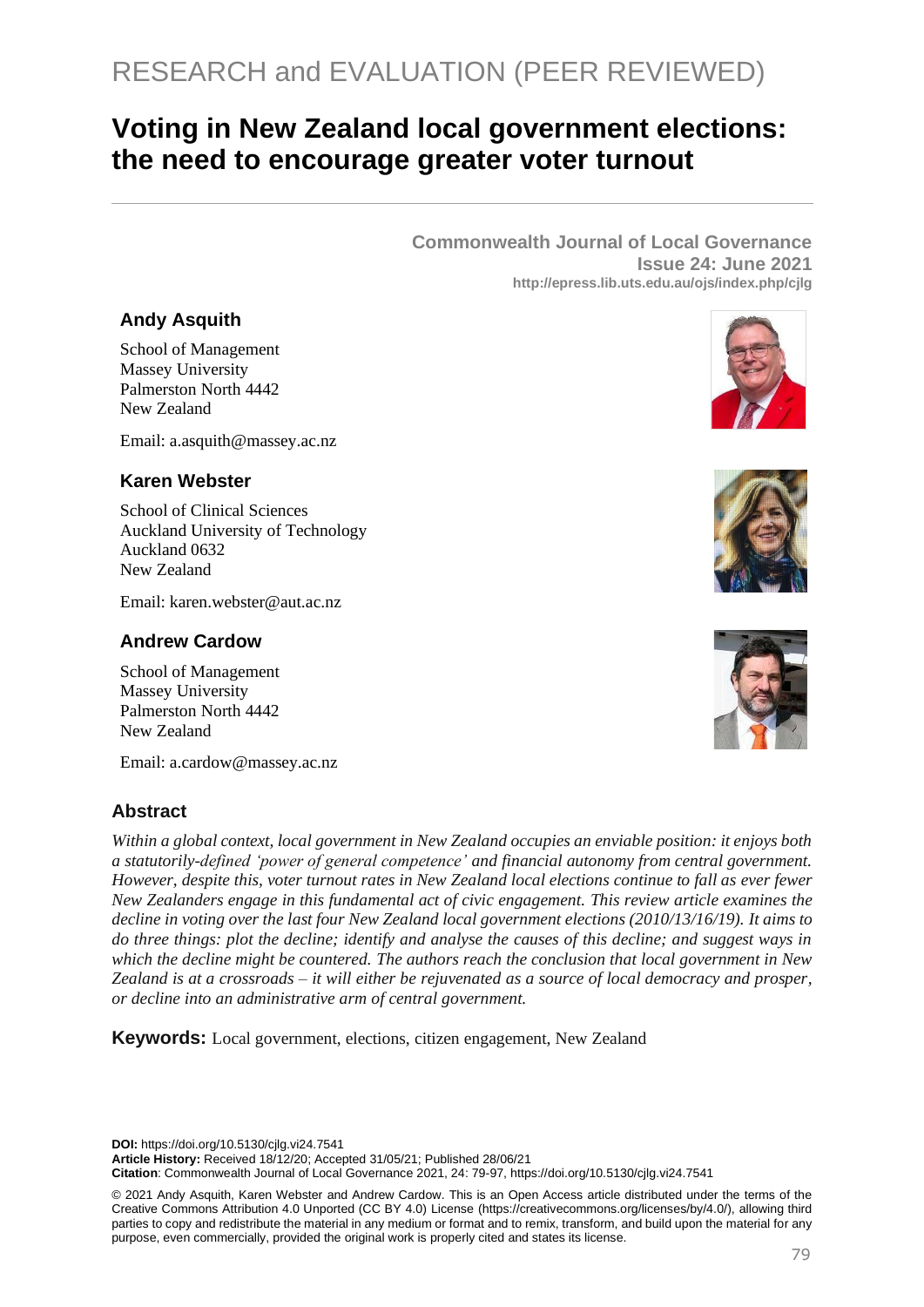# RESEARCH and EVALUATION (PEER REVIEWED)

## **Voting in New Zealand local government elections: the need to encourage greater voter turnout**

**Commonwealth Journal of Local Governance Issue 24: June 2021 http://epress.lib.uts.edu.au/ojs/index.php/cjlg**

## **Andy Asquith**

School of Management Massey University Palmerston North 4442 New Zealand

Email: [a.asquith@massey.ac.nz](mailto:a.asquith@massey.ac.nz)

## **Karen Webster**

School of Clinical Sciences Auckland University of Technology Auckland 0632 New Zealand

Email: [karen.webster@aut.ac.nz](mailto:karen.webster@aut.ac.nz)

## **Andrew Cardow**

School of Management Massey University Palmerston North 4442 New Zealand

Email: a.cardow@massey.ac.nz

## **Abstract**

*Within a global context, local government in New Zealand occupies an enviable position: it enjoys both a statutorily-defined 'power of general competence' and financial autonomy from central government. However, despite this, voter turnout rates in New Zealand local elections continue to fall as ever fewer New Zealanders engage in this fundamental act of civic engagement. This review article examines the decline in voting over the last four New Zealand local government elections (2010/13/16/19). It aims to do three things: plot the decline; identify and analyse the causes of this decline; and suggest ways in which the decline might be countered. The authors reach the conclusion that local government in New Zealand is at a crossroads – it will either be rejuvenated as a source of local democracy and prosper, or decline into an administrative arm of central government.*

**Keywords:** Local government, elections, citizen engagement, New Zealand

**DOI:** https://doi.org/10.5130/cjlg.vi24.7541

**Article History:** Received 18/12/20; Accepted 31/05/21; Published 28/06/21

**Citation**: Commonwealth Journal of Local Governance 2021, 24: 79-97, https://doi.org/10.5130/cjlg.vi24.7541

© 2021 Andy Asquith, Karen Webster and Andrew Cardow. This is an Open Access article distributed under the terms of the Creative Commons Attribution 4.0 Unported (CC BY 4.0) License [\(https://creativecommons.org/licenses/by/4.0/\)](https://creativecommons.org/licenses/by/4.0/), allowing third parties to copy and redistribute the material in any medium or format and to remix, transform, and build upon the material for any purpose, even commercially, provided the original work is properly cited and states its license.





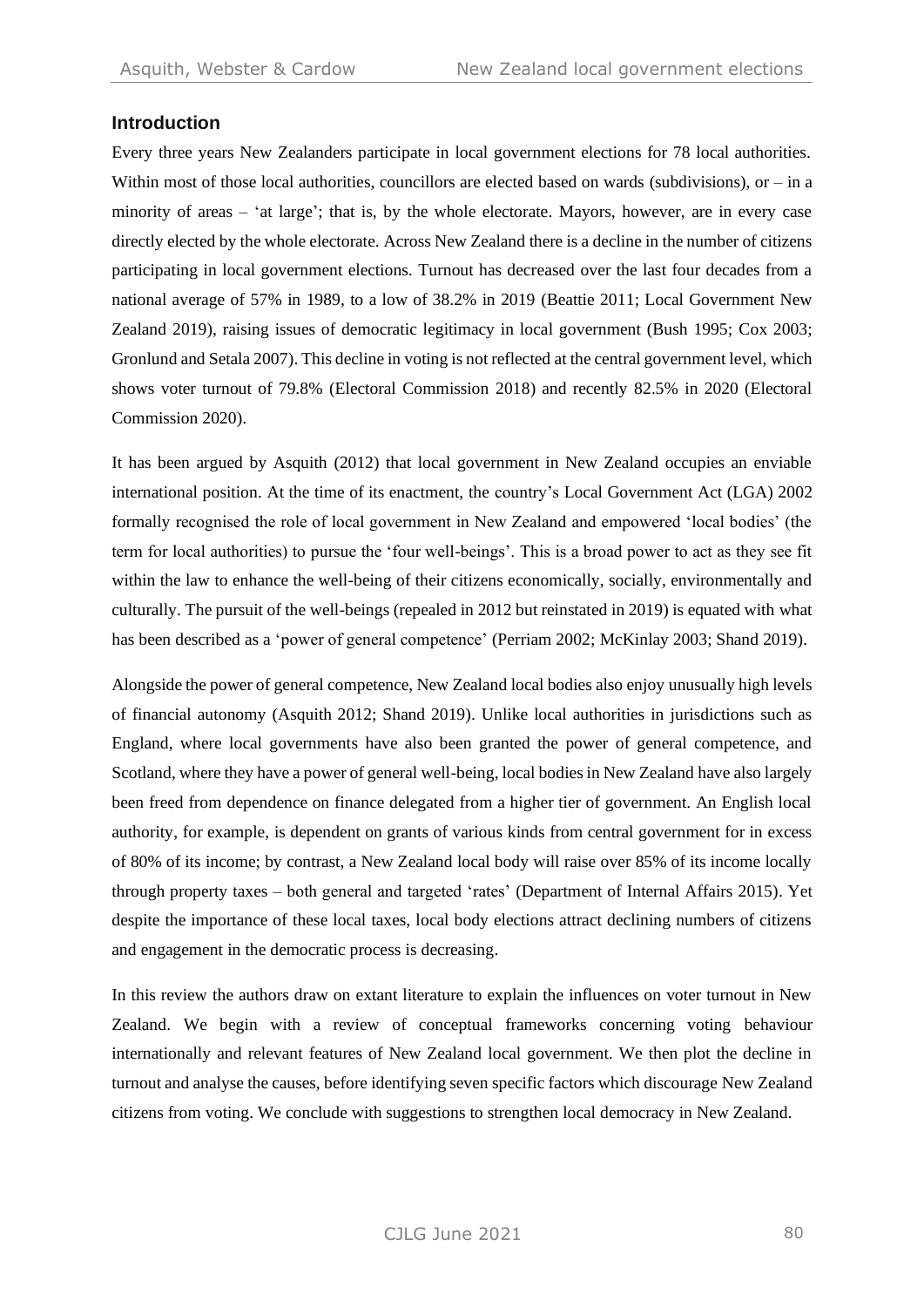#### **Introduction**

Every three years New Zealanders participate in local government elections for 78 local authorities. Within most of those local authorities, councillors are elected based on wards (subdivisions), or  $-$  in a minority of areas – 'at large'; that is, by the whole electorate. Mayors, however, are in every case directly elected by the whole electorate. Across New Zealand there is a decline in the number of citizens participating in local government elections. Turnout has decreased over the last four decades from a national average of 57% in 1989, to a low of 38.2% in 2019 (Beattie 2011; Local Government New Zealand 2019), raising issues of democratic legitimacy in local government (Bush 1995; Cox 2003; Gronlund and Setala 2007). This decline in voting is not reflected at the central government level, which shows voter turnout of 79.8% (Electoral Commission 2018) and recently 82.5% in 2020 (Electoral Commission 2020).

It has been argued by Asquith (2012) that local government in New Zealand occupies an enviable international position. At the time of its enactment, the country's Local Government Act (LGA) 2002 formally recognised the role of local government in New Zealand and empowered 'local bodies' (the term for local authorities) to pursue the 'four well-beings'. This is a broad power to act as they see fit within the law to enhance the well-being of their citizens economically, socially, environmentally and culturally. The pursuit of the well-beings (repealed in 2012 but reinstated in 2019) is equated with what has been described as a 'power of general competence' (Perriam 2002; McKinlay 2003; Shand 2019).

Alongside the power of general competence, New Zealand local bodies also enjoy unusually high levels of financial autonomy (Asquith 2012; Shand 2019). Unlike local authorities in jurisdictions such as England, where local governments have also been granted the power of general competence, and Scotland, where they have a power of general well-being, local bodies in New Zealand have also largely been freed from dependence on finance delegated from a higher tier of government. An English local authority, for example, is dependent on grants of various kinds from central government for in excess of 80% of its income; by contrast, a New Zealand local body will raise over 85% of its income locally through property taxes – both general and targeted 'rates' (Department of Internal Affairs 2015). Yet despite the importance of these local taxes, local body elections attract declining numbers of citizens and engagement in the democratic process is decreasing.

In this review the authors draw on extant literature to explain the influences on voter turnout in New Zealand. We begin with a review of conceptual frameworks concerning voting behaviour internationally and relevant features of New Zealand local government. We then plot the decline in turnout and analyse the causes, before identifying seven specific factors which discourage New Zealand citizens from voting. We conclude with suggestions to strengthen local democracy in New Zealand.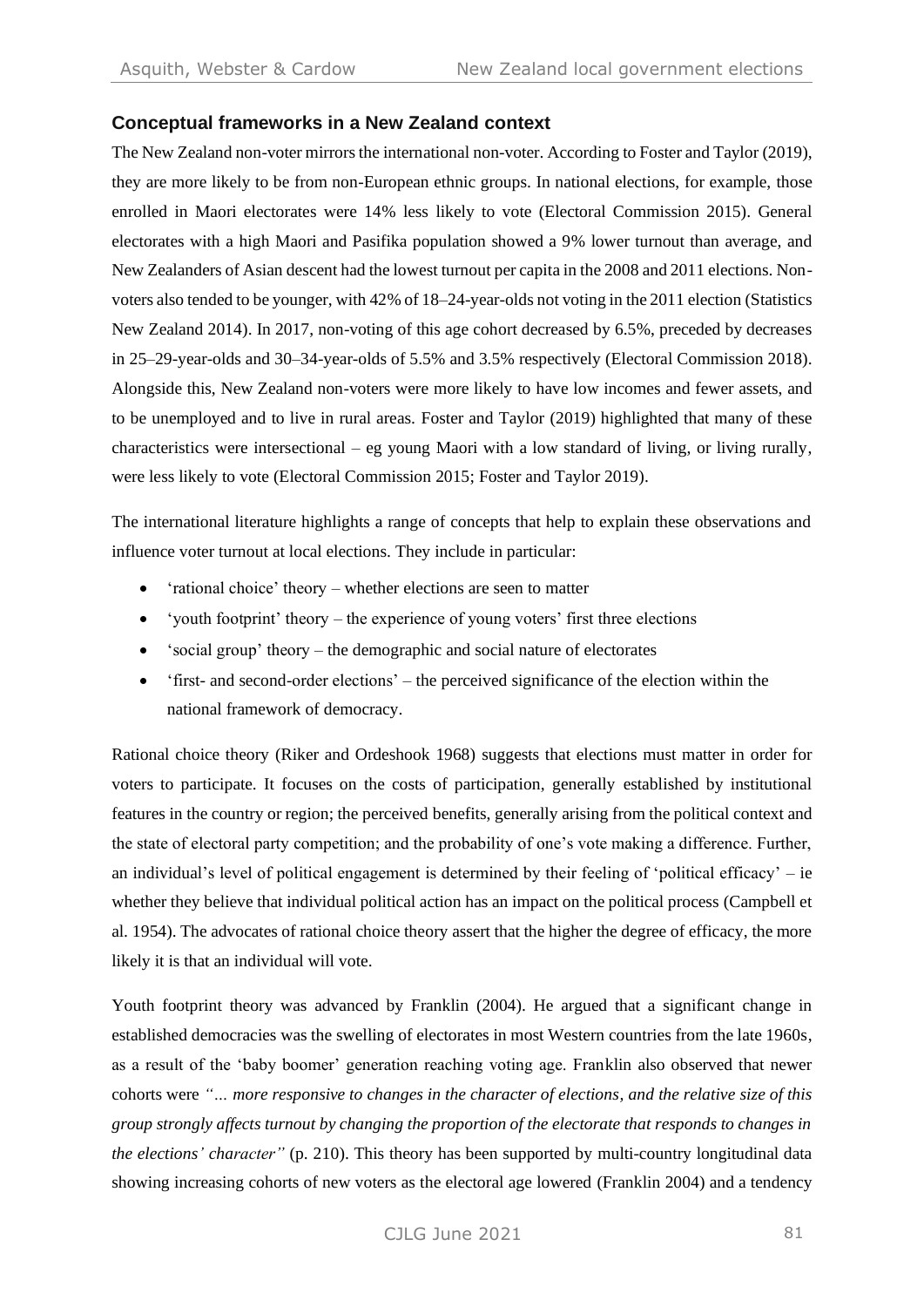## **Conceptual frameworks in a New Zealand context**

The New Zealand non-voter mirrors the international non-voter. According to Foster and Taylor (2019), they are more likely to be from non-European ethnic groups. In national elections, for example, those enrolled in Maori electorates were 14% less likely to vote (Electoral Commission 2015). General electorates with a high Maori and Pasifika population showed a 9% lower turnout than average, and New Zealanders of Asian descent had the lowest turnout per capita in the 2008 and 2011 elections. Nonvoters also tended to be younger, with 42% of 18–24-year-olds not voting in the 2011 election (Statistics New Zealand 2014). In 2017, non-voting of this age cohort decreased by 6.5%, preceded by decreases in 25–29-year-olds and 30–34-year-olds of 5.5% and 3.5% respectively (Electoral Commission 2018). Alongside this, New Zealand non-voters were more likely to have low incomes and fewer assets, and to be unemployed and to live in rural areas. Foster and Taylor (2019) highlighted that many of these characteristics were intersectional – eg young Maori with a low standard of living, or living rurally, were less likely to vote (Electoral Commission 2015; Foster and Taylor 2019).

The international literature highlights a range of concepts that help to explain these observations and influence voter turnout at local elections. They include in particular:

- 'rational choice' theory whether elections are seen to matter
- 'youth footprint' theory the experience of young voters' first three elections
- 'social group' theory the demographic and social nature of electorates
- 'first- and second-order elections' the perceived significance of the election within the national framework of democracy.

Rational choice theory (Riker and Ordeshook 1968) suggests that elections must matter in order for voters to participate. It focuses on the costs of participation, generally established by institutional features in the country or region; the perceived benefits, generally arising from the political context and the state of electoral party competition; and the probability of one's vote making a difference. Further, an individual's level of political engagement is determined by their feeling of 'political efficacy' – ie whether they believe that individual political action has an impact on the political process (Campbell et al. 1954). The advocates of rational choice theory assert that the higher the degree of efficacy, the more likely it is that an individual will vote.

Youth footprint theory was advanced by Franklin (2004). He argued that a significant change in established democracies was the swelling of electorates in most Western countries from the late 1960s, as a result of the 'baby boomer' generation reaching voting age. Franklin also observed that newer cohorts were *"… more responsive to changes in the character of elections, and the relative size of this group strongly affects turnout by changing the proportion of the electorate that responds to changes in the elections' character"* (p. 210). This theory has been supported by multi-country longitudinal data showing increasing cohorts of new voters as the electoral age lowered (Franklin 2004) and a tendency

CJLG June 2021 81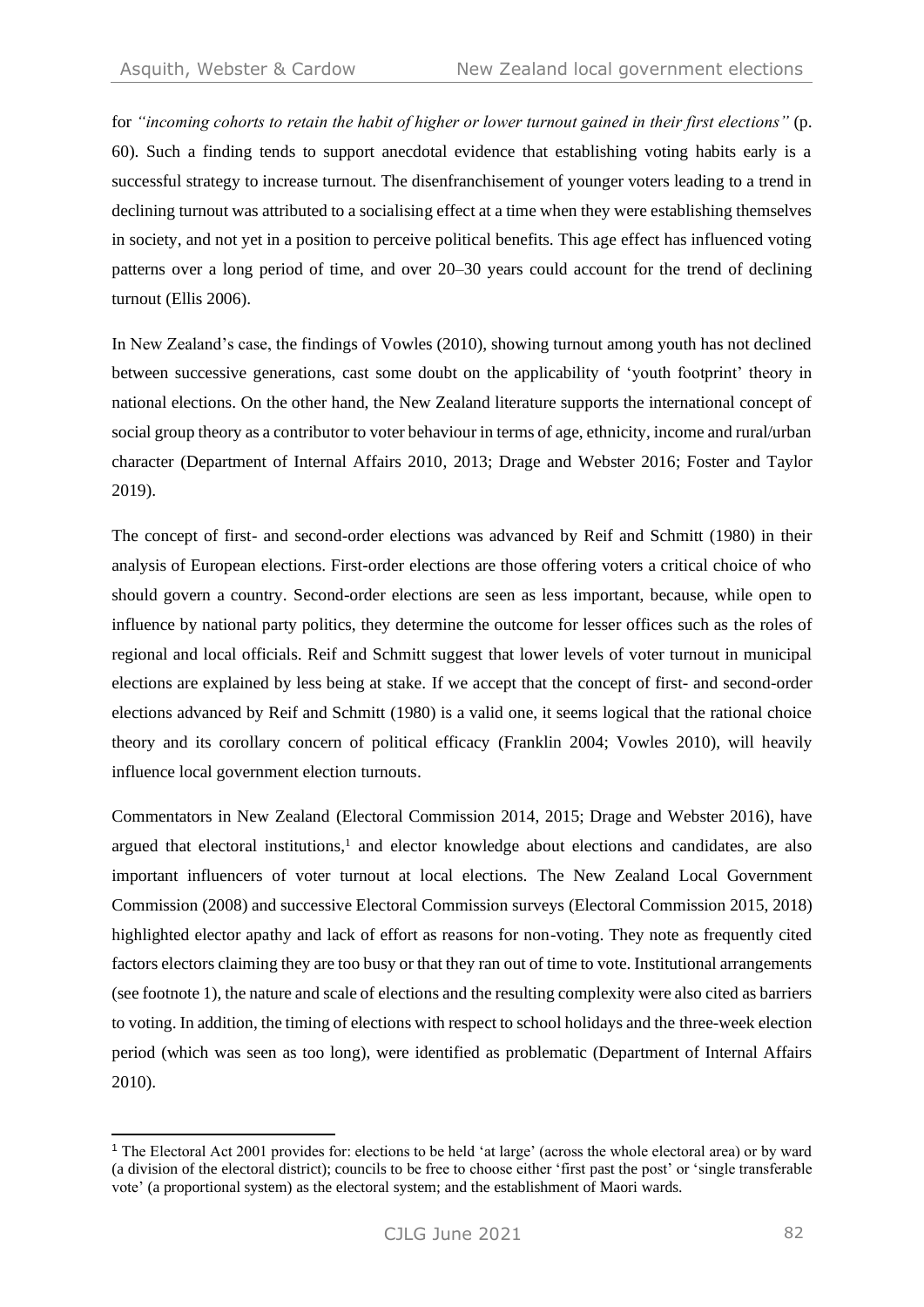for *"incoming cohorts to retain the habit of higher or lower turnout gained in their first elections"* (p. 60). Such a finding tends to support anecdotal evidence that establishing voting habits early is a successful strategy to increase turnout. The disenfranchisement of younger voters leading to a trend in declining turnout was attributed to a socialising effect at a time when they were establishing themselves in society, and not yet in a position to perceive political benefits. This age effect has influenced voting patterns over a long period of time, and over 20–30 years could account for the trend of declining turnout (Ellis 2006).

In New Zealand's case, the findings of Vowles (2010), showing turnout among youth has not declined between successive generations, cast some doubt on the applicability of 'youth footprint' theory in national elections. On the other hand, the New Zealand literature supports the international concept of social group theory as a contributor to voter behaviour in terms of age, ethnicity, income and rural/urban character (Department of Internal Affairs 2010, 2013; Drage and Webster 2016; Foster and Taylor 2019).

The concept of first- and second-order elections was advanced by Reif and Schmitt (1980) in their analysis of European elections. First-order elections are those offering voters a critical choice of who should govern a country. Second-order elections are seen as less important, because, while open to influence by national party politics, they determine the outcome for lesser offices such as the roles of regional and local officials. Reif and Schmitt suggest that lower levels of voter turnout in municipal elections are explained by less being at stake. If we accept that the concept of first- and second-order elections advanced by Reif and Schmitt (1980) is a valid one, it seems logical that the rational choice theory and its corollary concern of political efficacy (Franklin 2004; Vowles 2010), will heavily influence local government election turnouts.

Commentators in New Zealand (Electoral Commission 2014, 2015; Drage and Webster 2016), have argued that electoral institutions, <sup>1</sup> and elector knowledge about elections and candidates, are also important influencers of voter turnout at local elections. The New Zealand Local Government Commission (2008) and successive Electoral Commission surveys (Electoral Commission 2015, 2018) highlighted elector apathy and lack of effort as reasons for non-voting. They note as frequently cited factors electors claiming they are too busy or that they ran out of time to vote. Institutional arrangements (see footnote 1), the nature and scale of elections and the resulting complexity were also cited as barriers to voting. In addition, the timing of elections with respect to school holidays and the three-week election period (which was seen as too long), were identified as problematic (Department of Internal Affairs 2010).

<sup>&</sup>lt;sup>1</sup> The Electoral Act 2001 provides for: elections to be held 'at large' (across the whole electoral area) or by ward (a division of the electoral district); councils to be free to choose either 'first past the post' or 'single transferable vote' (a proportional system) as the electoral system; and the establishment of Maori wards.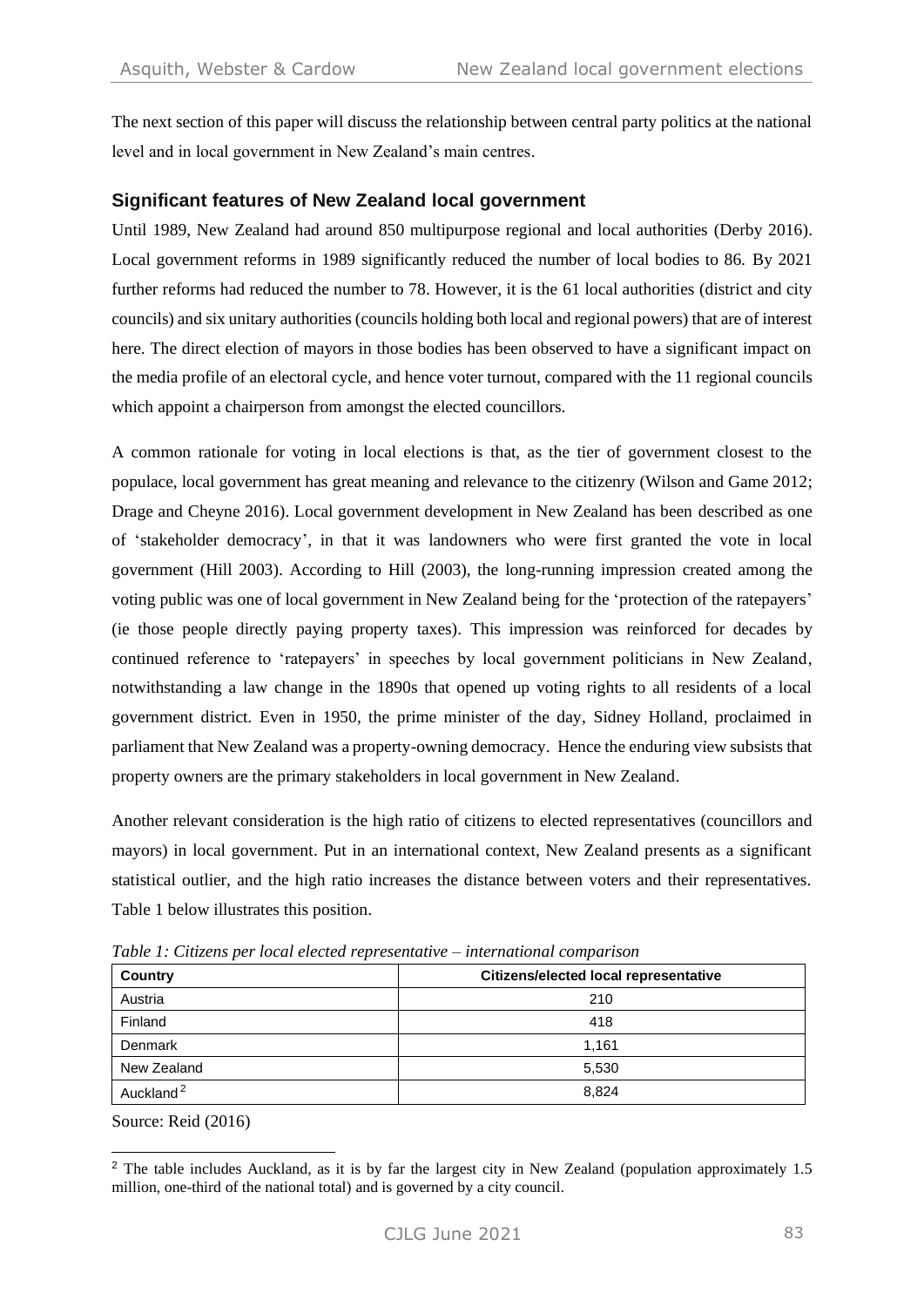The next section of this paper will discuss the relationship between central party politics at the national level and in local government in New Zealand's main centres.

## **Significant features of New Zealand local government**

Until 1989, New Zealand had around 850 multipurpose regional and local authorities (Derby 2016). Local government reforms in 1989 significantly reduced the number of local bodies to 86. By 2021 further reforms had reduced the number to 78. However, it is the 61 local authorities (district and city councils) and six unitary authorities (councils holding both local and regional powers) that are of interest here. The direct election of mayors in those bodies has been observed to have a significant impact on the media profile of an electoral cycle, and hence voter turnout, compared with the 11 regional councils which appoint a chairperson from amongst the elected councillors.

A common rationale for voting in local elections is that, as the tier of government closest to the populace, local government has great meaning and relevance to the citizenry (Wilson and Game 2012; Drage and Cheyne 2016). Local government development in New Zealand has been described as one of 'stakeholder democracy', in that it was landowners who were first granted the vote in local government (Hill 2003). According to Hill (2003), the long-running impression created among the voting public was one of local government in New Zealand being for the 'protection of the ratepayers' (ie those people directly paying property taxes). This impression was reinforced for decades by continued reference to 'ratepayers' in speeches by local government politicians in New Zealand, notwithstanding a law change in the 1890s that opened up voting rights to all residents of a local government district. Even in 1950, the prime minister of the day, Sidney Holland, proclaimed in parliament that New Zealand was a property-owning democracy. Hence the enduring view subsists that property owners are the primary stakeholders in local government in New Zealand.

Another relevant consideration is the high ratio of citizens to elected representatives (councillors and mayors) in local government. Put in an international context, New Zealand presents as a significant statistical outlier, and the high ratio increases the distance between voters and their representatives. Table 1 below illustrates this position.

| Country               | Citizens/elected local representative |  |  |  |
|-----------------------|---------------------------------------|--|--|--|
| Austria               | 210                                   |  |  |  |
| Finland               | 418                                   |  |  |  |
| Denmark               | 1,161                                 |  |  |  |
| New Zealand           | 5,530                                 |  |  |  |
| Auckland <sup>2</sup> | 8.824                                 |  |  |  |

*Table 1: Citizens per local elected representative – international comparison*

Source: Reid (2016)

<sup>&</sup>lt;sup>2</sup> The table includes Auckland, as it is by far the largest city in New Zealand (population approximately 1.5 million, one-third of the national total) and is governed by a city council.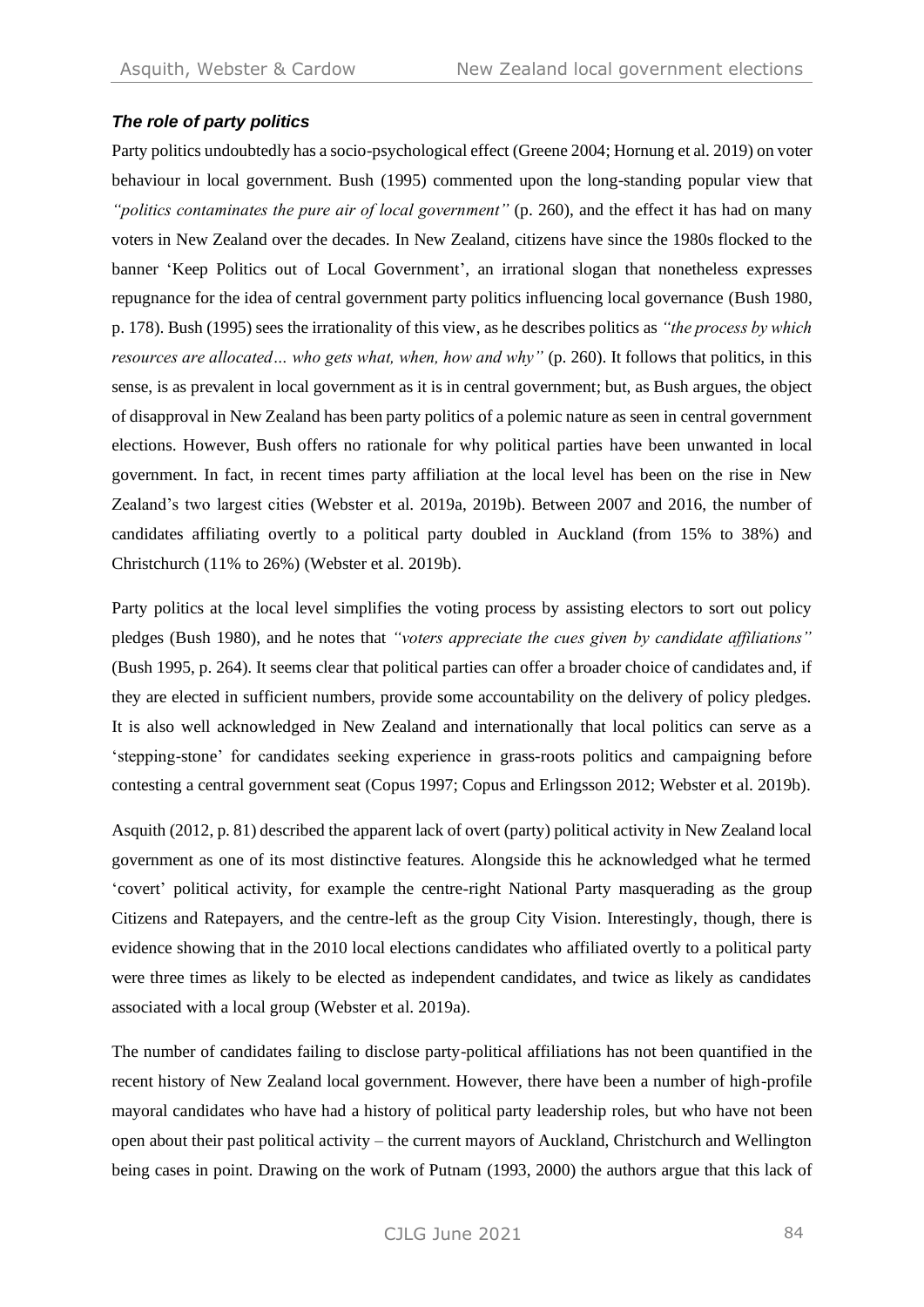## *The role of party politics*

Party politics undoubtedly has a socio-psychological effect (Greene 2004; Hornung et al. 2019) on voter behaviour in local government. Bush (1995) commented upon the long-standing popular view that *"politics contaminates the pure air of local government"* (p. 260), and the effect it has had on many voters in New Zealand over the decades. In New Zealand, citizens have since the 1980s flocked to the banner 'Keep Politics out of Local Government', an irrational slogan that nonetheless expresses repugnance for the idea of central government party politics influencing local governance (Bush 1980, p. 178). Bush (1995) sees the irrationality of this view, as he describes politics as *"the process by which resources are allocated… who gets what, when, how and why"* (p. 260). It follows that politics, in this sense, is as prevalent in local government as it is in central government; but, as Bush argues, the object of disapproval in New Zealand has been party politics of a polemic nature as seen in central government elections. However, Bush offers no rationale for why political parties have been unwanted in local government. In fact, in recent times party affiliation at the local level has been on the rise in New Zealand's two largest cities (Webster et al. 2019a, 2019b). Between 2007 and 2016, the number of candidates affiliating overtly to a political party doubled in Auckland (from 15% to 38%) and Christchurch (11% to 26%) (Webster et al. 2019b).

Party politics at the local level simplifies the voting process by assisting electors to sort out policy pledges (Bush 1980), and he notes that *"voters appreciate the cues given by candidate affiliations"* (Bush 1995, p. 264). It seems clear that political parties can offer a broader choice of candidates and, if they are elected in sufficient numbers, provide some accountability on the delivery of policy pledges. It is also well acknowledged in New Zealand and internationally that local politics can serve as a 'stepping-stone' for candidates seeking experience in grass-roots politics and campaigning before contesting a central government seat (Copus 1997; Copus and Erlingsson 2012; Webster et al. 2019b).

Asquith (2012, p. 81) described the apparent lack of overt (party) political activity in New Zealand local government as one of its most distinctive features. Alongside this he acknowledged what he termed 'covert' political activity, for example the centre-right National Party masquerading as the group Citizens and Ratepayers, and the centre-left as the group City Vision. Interestingly, though, there is evidence showing that in the 2010 local elections candidates who affiliated overtly to a political party were three times as likely to be elected as independent candidates, and twice as likely as candidates associated with a local group (Webster et al. 2019a).

The number of candidates failing to disclose party-political affiliations has not been quantified in the recent history of New Zealand local government. However, there have been a number of high-profile mayoral candidates who have had a history of political party leadership roles, but who have not been open about their past political activity – the current mayors of Auckland, Christchurch and Wellington being cases in point. Drawing on the work of Putnam (1993, 2000) the authors argue that this lack of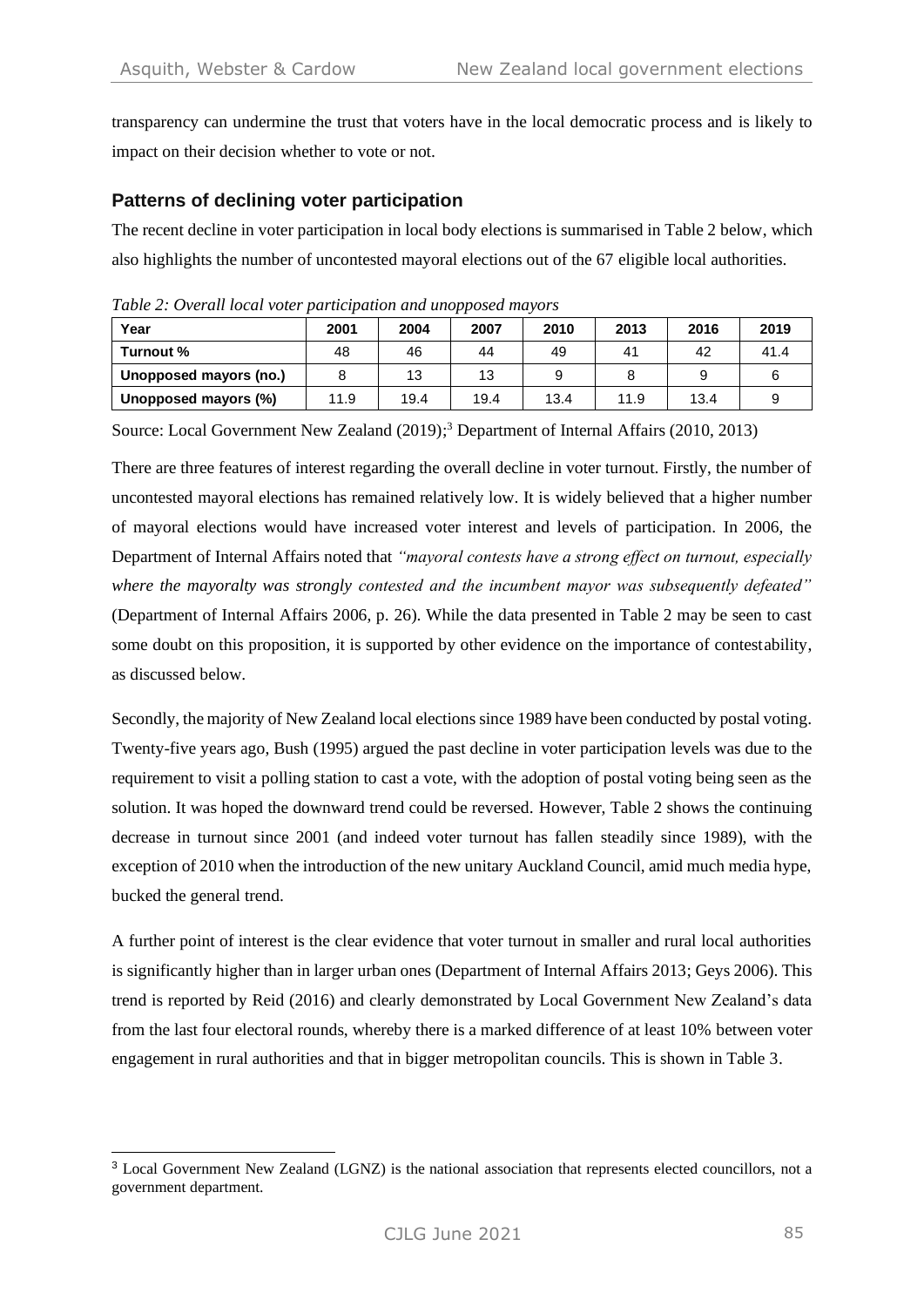transparency can undermine the trust that voters have in the local democratic process and is likely to impact on their decision whether to vote or not.

## **Patterns of declining voter participation**

The recent decline in voter participation in local body elections is summarised in Table 2 below, which also highlights the number of uncontested mayoral elections out of the 67 eligible local authorities.

| Year                   | 2001 | 2004 | 2007 | 2010 | 2013 | 2016 | 2019 |
|------------------------|------|------|------|------|------|------|------|
| Turnout %              | 48   | 46   | 44   | 49   | 41   | 42   | 41.4 |
| Unopposed mayors (no.) |      | 13   | 13   |      |      |      |      |
| Unopposed mayors (%)   | 11.9 | 19.4 | 19.4 | 13.4 | 11.9 | 13.4 |      |

*Table 2: Overall local voter participation and unopposed mayors*

Source: Local Government New Zealand (2019); <sup>3</sup> Department of Internal Affairs (2010, 2013)

There are three features of interest regarding the overall decline in voter turnout. Firstly, the number of uncontested mayoral elections has remained relatively low. It is widely believed that a higher number of mayoral elections would have increased voter interest and levels of participation. In 2006, the Department of Internal Affairs noted that *"mayoral contests have a strong effect on turnout, especially where the mayoralty was strongly contested and the incumbent mayor was subsequently defeated"* (Department of Internal Affairs 2006, p. 26). While the data presented in Table 2 may be seen to cast some doubt on this proposition, it is supported by other evidence on the importance of contestability, as discussed below.

Secondly, the majority of New Zealand local elections since 1989 have been conducted by postal voting. Twenty-five years ago, Bush (1995) argued the past decline in voter participation levels was due to the requirement to visit a polling station to cast a vote, with the adoption of postal voting being seen as the solution. It was hoped the downward trend could be reversed. However, Table 2 shows the continuing decrease in turnout since 2001 (and indeed voter turnout has fallen steadily since 1989), with the exception of 2010 when the introduction of the new unitary Auckland Council, amid much media hype, bucked the general trend.

A further point of interest is the clear evidence that voter turnout in smaller and rural local authorities is significantly higher than in larger urban ones (Department of Internal Affairs 2013; Geys 2006). This trend is reported by Reid (2016) and clearly demonstrated by Local Government New Zealand's data from the last four electoral rounds, whereby there is a marked difference of at least 10% between voter engagement in rural authorities and that in bigger metropolitan councils. This is shown in Table 3.

<sup>3</sup> Local Government New Zealand (LGNZ) is the national association that represents elected councillors, not a government department.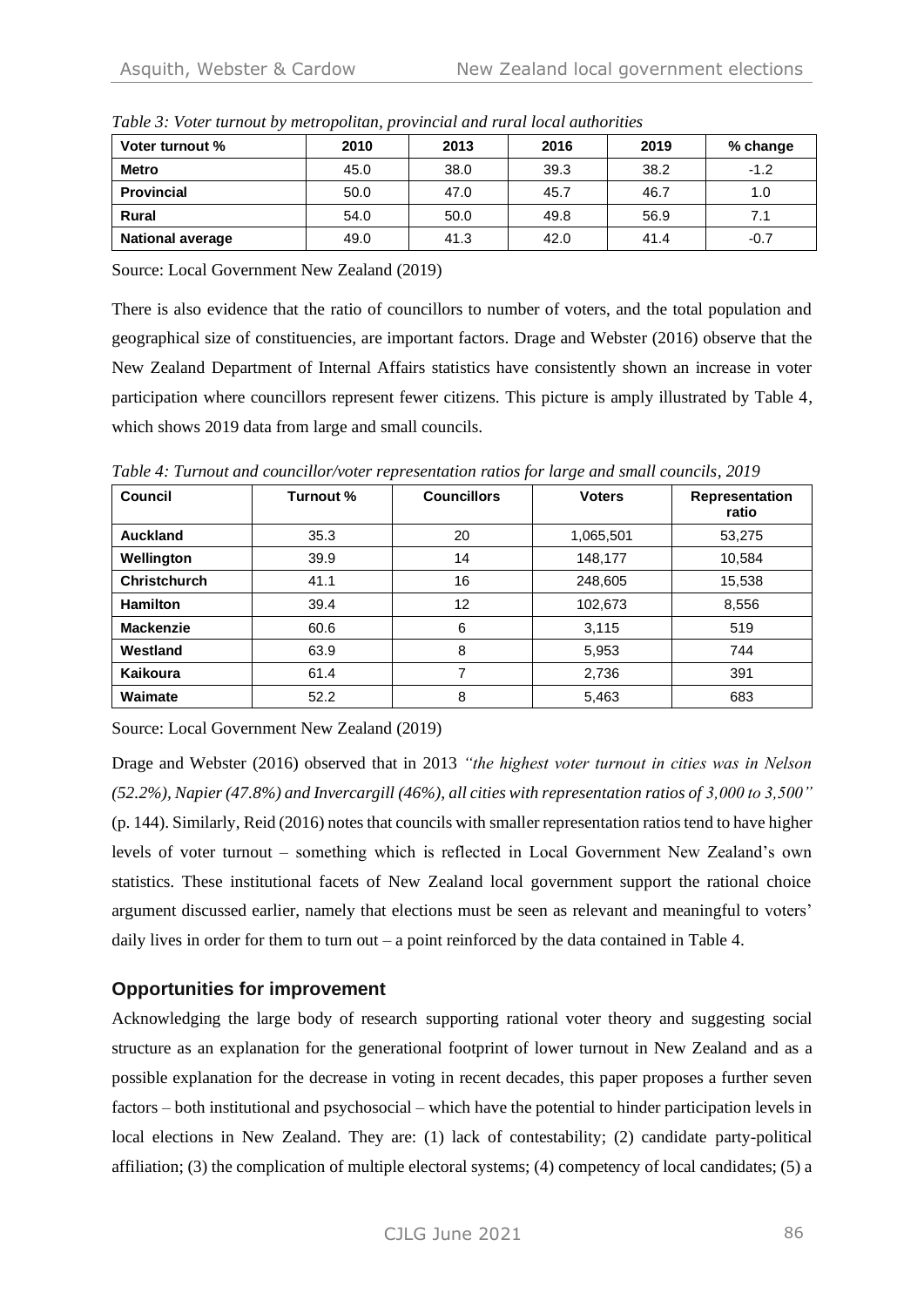| Voter turnout %         | 2010 | 2013 | 2016 | 2019 | % change |
|-------------------------|------|------|------|------|----------|
| <b>Metro</b>            | 45.0 | 38.0 | 39.3 | 38.2 | $-1.2$   |
| <b>Provincial</b>       | 50.0 | 47.0 | 45.7 | 46.7 | 1.0      |
| <b>Rural</b>            | 54.0 | 50.0 | 49.8 | 56.9 | 7.1      |
| <b>National average</b> | 49.0 | 41.3 | 42.0 | 41.4 | $-0.7$   |

*Table 3: Voter turnout by metropolitan, provincial and rural local authorities*

Source: Local Government New Zealand (2019)

There is also evidence that the ratio of councillors to number of voters, and the total population and geographical size of constituencies, are important factors. Drage and Webster (2016) observe that the New Zealand Department of Internal Affairs statistics have consistently shown an increase in voter participation where councillors represent fewer citizens. This picture is amply illustrated by Table 4, which shows 2019 data from large and small councils.

| Council             | Turnout % | <b>Councillors</b> | <b>Voters</b> | Representation<br>ratio |
|---------------------|-----------|--------------------|---------------|-------------------------|
| Auckland            | 35.3      | 20                 | 1,065,501     | 53,275                  |
| Wellington          | 39.9      | 14                 | 148,177       | 10,584                  |
| <b>Christchurch</b> | 41.1      | 16                 | 248,605       | 15,538                  |
| <b>Hamilton</b>     | 39.4      | 12                 | 102,673       | 8,556                   |
| <b>Mackenzie</b>    | 60.6      | 6                  | 3,115         | 519                     |
| Westland            | 63.9      | 8                  | 5,953         | 744                     |
| Kaikoura            | 61.4      | 7                  | 2,736         | 391                     |
| Waimate             | 52.2      | 8                  | 5,463         | 683                     |

*Table 4: Turnout and councillor/voter representation ratios for large and small councils, 2019*

Source: Local Government New Zealand (2019)

Drage and Webster (2016) observed that in 2013 *"the highest voter turnout in cities was in Nelson (52.2%), Napier (47.8%) and Invercargill (46%), all cities with representation ratios of 3,000 to 3,500"* (p. 144). Similarly, Reid (2016) notes that councils with smaller representation ratios tend to have higher levels of voter turnout – something which is reflected in Local Government New Zealand's own statistics. These institutional facets of New Zealand local government support the rational choice argument discussed earlier, namely that elections must be seen as relevant and meaningful to voters' daily lives in order for them to turn out – a point reinforced by the data contained in Table 4.

## **Opportunities for improvement**

Acknowledging the large body of research supporting rational voter theory and suggesting social structure as an explanation for the generational footprint of lower turnout in New Zealand and as a possible explanation for the decrease in voting in recent decades, this paper proposes a further seven factors – both institutional and psychosocial – which have the potential to hinder participation levels in local elections in New Zealand. They are: (1) lack of contestability; (2) candidate party-political affiliation; (3) the complication of multiple electoral systems; (4) competency of local candidates; (5) a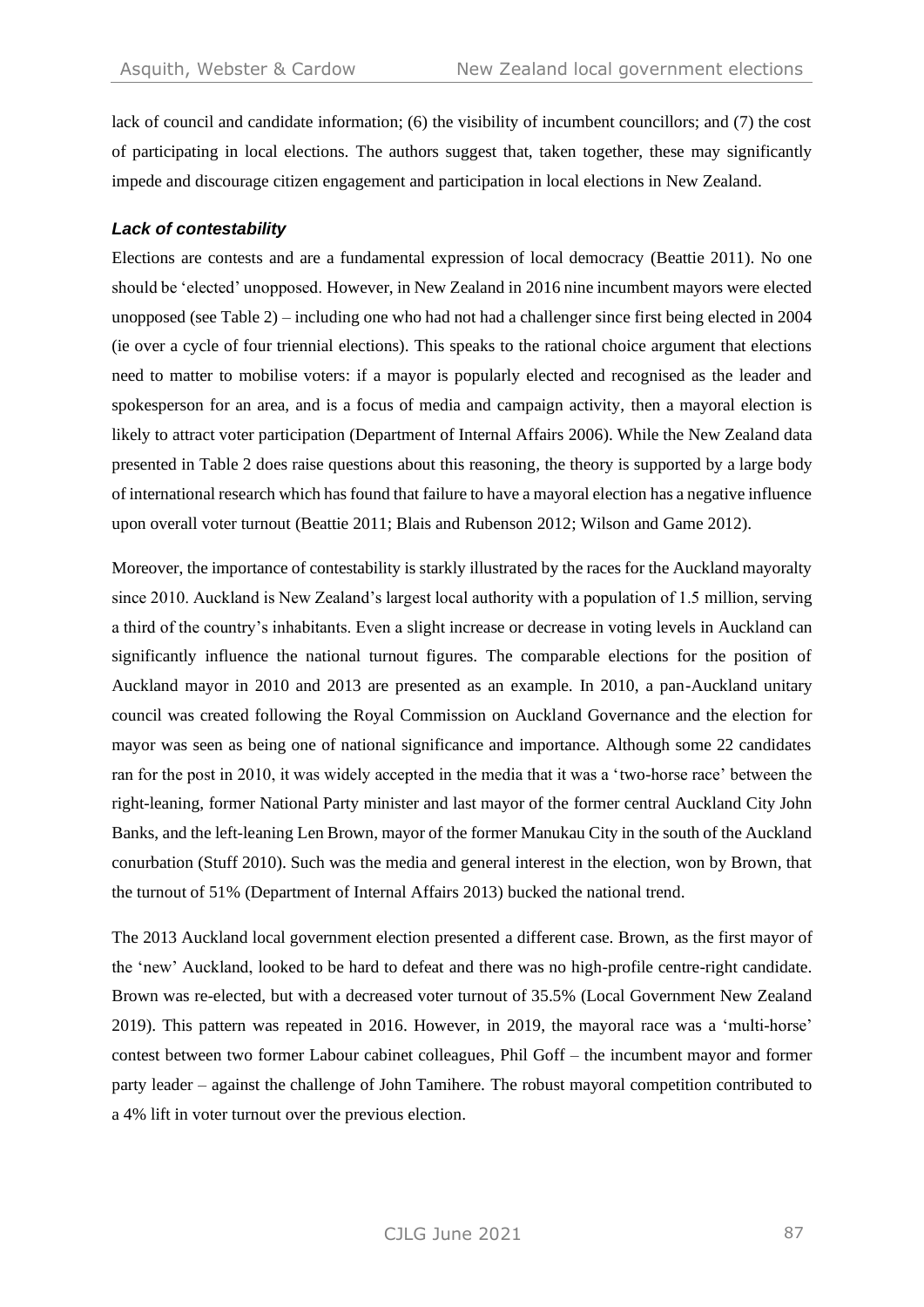lack of council and candidate information; (6) the visibility of incumbent councillors; and (7) the cost of participating in local elections. The authors suggest that, taken together, these may significantly impede and discourage citizen engagement and participation in local elections in New Zealand.

#### *Lack of contestability*

Elections are contests and are a fundamental expression of local democracy (Beattie 2011). No one should be 'elected' unopposed. However, in New Zealand in 2016 nine incumbent mayors were elected unopposed (see Table 2) – including one who had not had a challenger since first being elected in 2004 (ie over a cycle of four triennial elections). This speaks to the rational choice argument that elections need to matter to mobilise voters: if a mayor is popularly elected and recognised as the leader and spokesperson for an area, and is a focus of media and campaign activity, then a mayoral election is likely to attract voter participation (Department of Internal Affairs 2006). While the New Zealand data presented in Table 2 does raise questions about this reasoning, the theory is supported by a large body of international research which has found that failure to have a mayoral election has a negative influence upon overall voter turnout (Beattie 2011; Blais and Rubenson 2012; Wilson and Game 2012).

Moreover, the importance of contestability is starkly illustrated by the races for the Auckland mayoralty since 2010. Auckland is New Zealand's largest local authority with a population of 1.5 million, serving a third of the country's inhabitants. Even a slight increase or decrease in voting levels in Auckland can significantly influence the national turnout figures. The comparable elections for the position of Auckland mayor in 2010 and 2013 are presented as an example. In 2010, a pan-Auckland unitary council was created following the Royal Commission on Auckland Governance and the election for mayor was seen as being one of national significance and importance. Although some 22 candidates ran for the post in 2010, it was widely accepted in the media that it was a 'two-horse race' between the right-leaning, former National Party minister and last mayor of the former central Auckland City John Banks, and the left-leaning Len Brown, mayor of the former Manukau City in the south of the Auckland conurbation (Stuff 2010). Such was the media and general interest in the election, won by Brown, that the turnout of 51% (Department of Internal Affairs 2013) bucked the national trend.

The 2013 Auckland local government election presented a different case. Brown, as the first mayor of the 'new' Auckland, looked to be hard to defeat and there was no high-profile centre-right candidate. Brown was re-elected, but with a decreased voter turnout of 35.5% (Local Government New Zealand 2019). This pattern was repeated in 2016. However, in 2019, the mayoral race was a 'multi-horse' contest between two former Labour cabinet colleagues, Phil Goff – the incumbent mayor and former party leader – against the challenge of John Tamihere. The robust mayoral competition contributed to a 4% lift in voter turnout over the previous election.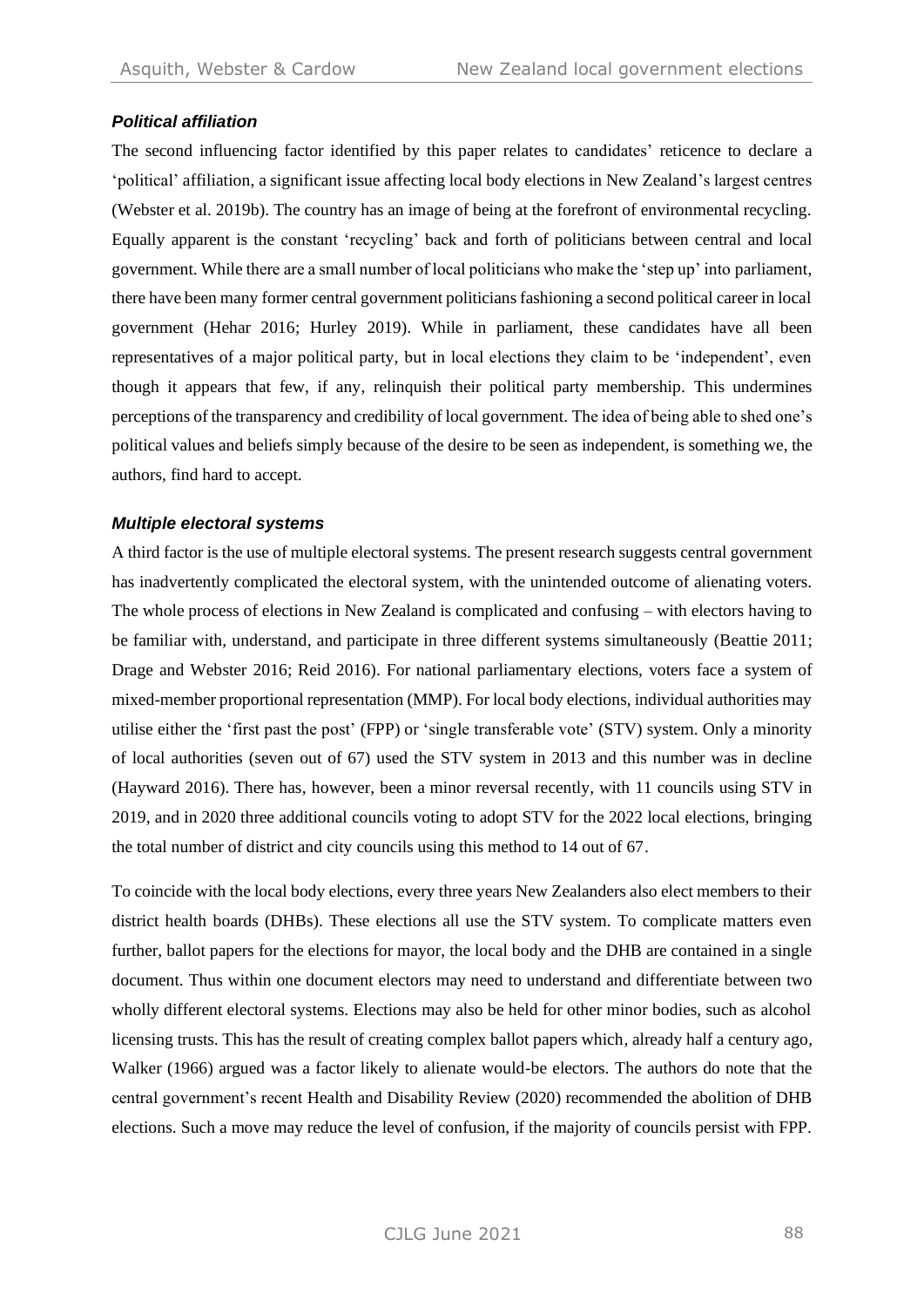## *Political affiliation*

The second influencing factor identified by this paper relates to candidates' reticence to declare a 'political' affiliation, a significant issue affecting local body elections in New Zealand's largest centres (Webster et al. 2019b). The country has an image of being at the forefront of environmental recycling. Equally apparent is the constant 'recycling' back and forth of politicians between central and local government. While there are a small number of local politicians who make the 'step up' into parliament, there have been many former central government politicians fashioning a second political career in local government (Hehar 2016; Hurley 2019). While in parliament, these candidates have all been representatives of a major political party, but in local elections they claim to be 'independent', even though it appears that few, if any, relinquish their political party membership. This undermines perceptions of the transparency and credibility of local government. The idea of being able to shed one's political values and beliefs simply because of the desire to be seen as independent, is something we, the authors, find hard to accept.

#### *Multiple electoral systems*

A third factor is the use of multiple electoral systems. The present research suggests central government has inadvertently complicated the electoral system, with the unintended outcome of alienating voters. The whole process of elections in New Zealand is complicated and confusing – with electors having to be familiar with, understand, and participate in three different systems simultaneously (Beattie 2011; Drage and Webster 2016; Reid 2016). For national parliamentary elections, voters face a system of mixed-member proportional representation (MMP). For local body elections, individual authorities may utilise either the 'first past the post' (FPP) or 'single transferable vote' (STV) system. Only a minority of local authorities (seven out of 67) used the STV system in 2013 and this number was in decline (Hayward 2016). There has, however, been a minor reversal recently, with 11 councils using STV in 2019, and in 2020 three additional councils voting to adopt STV for the 2022 local elections, bringing the total number of district and city councils using this method to 14 out of 67.

To coincide with the local body elections, every three years New Zealanders also elect members to their district health boards (DHBs). These elections all use the STV system. To complicate matters even further, ballot papers for the elections for mayor, the local body and the DHB are contained in a single document. Thus within one document electors may need to understand and differentiate between two wholly different electoral systems. Elections may also be held for other minor bodies, such as alcohol licensing trusts. This has the result of creating complex ballot papers which, already half a century ago, Walker (1966) argued was a factor likely to alienate would-be electors. The authors do note that the central government's recent Health and Disability Review (2020) recommended the abolition of DHB elections. Such a move may reduce the level of confusion, if the majority of councils persist with FPP.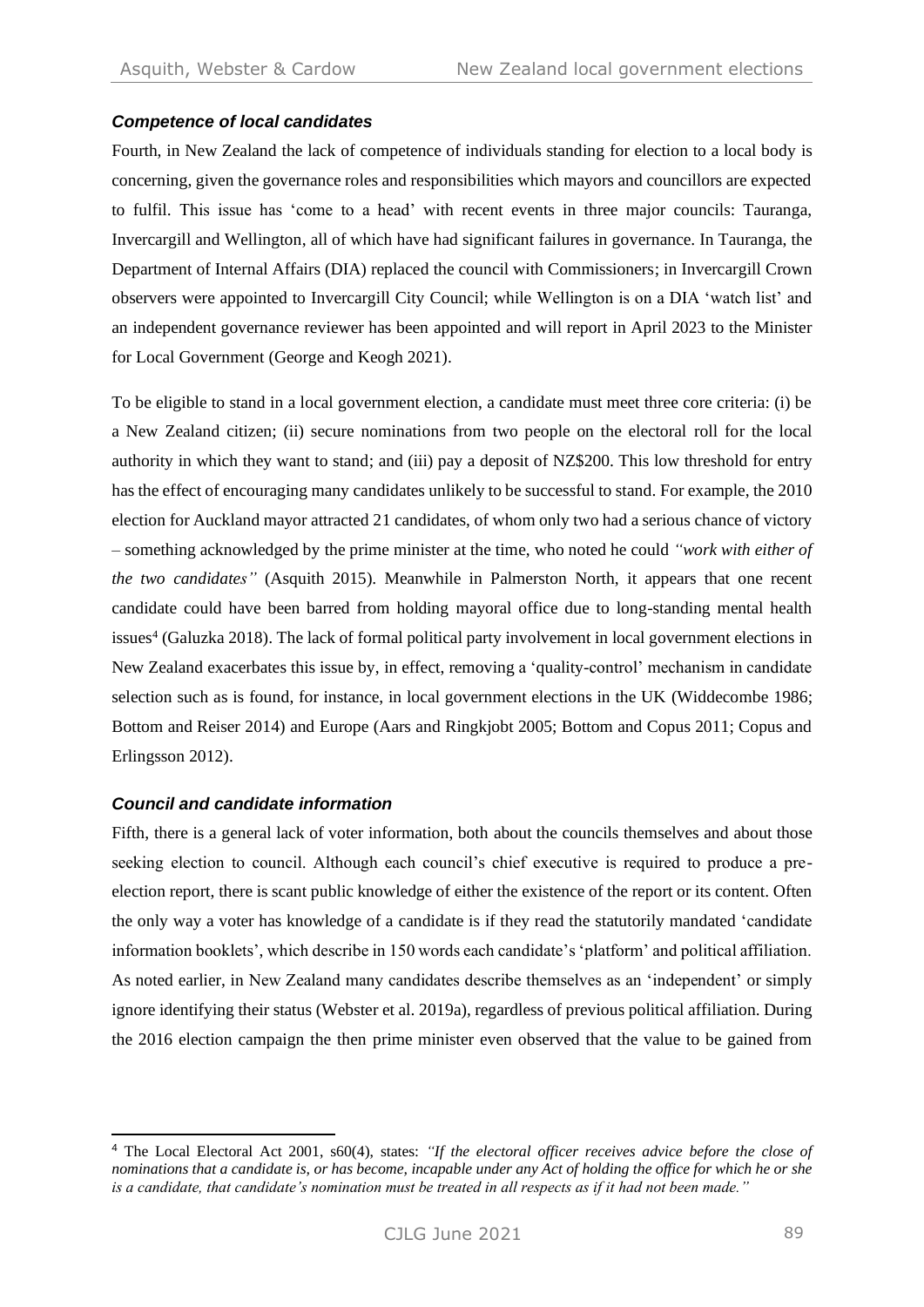#### *Competence of local candidates*

Fourth, in New Zealand the lack of competence of individuals standing for election to a local body is concerning, given the governance roles and responsibilities which mayors and councillors are expected to fulfil. This issue has 'come to a head' with recent events in three major councils: Tauranga, Invercargill and Wellington, all of which have had significant failures in governance. In Tauranga, the Department of Internal Affairs (DIA) replaced the council with Commissioners; in Invercargill Crown observers were appointed to Invercargill City Council; while Wellington is on a DIA 'watch list' and an independent governance reviewer has been appointed and will report in April 2023 to the Minister for Local Government (George and Keogh 2021).

To be eligible to stand in a local government election, a candidate must meet three core criteria: (i) be a New Zealand citizen; (ii) secure nominations from two people on the electoral roll for the local authority in which they want to stand; and (iii) pay a deposit of NZ\$200. This low threshold for entry has the effect of encouraging many candidates unlikely to be successful to stand. For example, the 2010 election for Auckland mayor attracted 21 candidates, of whom only two had a serious chance of victory – something acknowledged by the prime minister at the time, who noted he could *"work with either of the two candidates"* (Asquith 2015). Meanwhile in Palmerston North, it appears that one recent candidate could have been barred from holding mayoral office due to long-standing mental health issues<sup>4</sup> (Galuzka 2018). The lack of formal political party involvement in local government elections in New Zealand exacerbates this issue by, in effect, removing a 'quality-control' mechanism in candidate selection such as is found, for instance, in local government elections in the UK (Widdecombe 1986; Bottom and Reiser 2014) and Europe (Aars and Ringkjobt 2005; Bottom and Copus 2011; Copus and Erlingsson 2012).

#### *Council and candidate information*

Fifth, there is a general lack of voter information, both about the councils themselves and about those seeking election to council. Although each council's chief executive is required to produce a preelection report, there is scant public knowledge of either the existence of the report or its content. Often the only way a voter has knowledge of a candidate is if they read the statutorily mandated 'candidate information booklets', which describe in 150 words each candidate's 'platform' and political affiliation. As noted earlier, in New Zealand many candidates describe themselves as an 'independent' or simply ignore identifying their status (Webster et al. 2019a), regardless of previous political affiliation. During the 2016 election campaign the then prime minister even observed that the value to be gained from

<sup>4</sup> The Local Electoral Act 2001, s60(4), states: *"If the electoral officer receives advice before the close of nominations that a candidate is, or has become, incapable under any Act of holding the office for which he or she is a candidate, that candidate's nomination must be treated in all respects as if it had not been made."*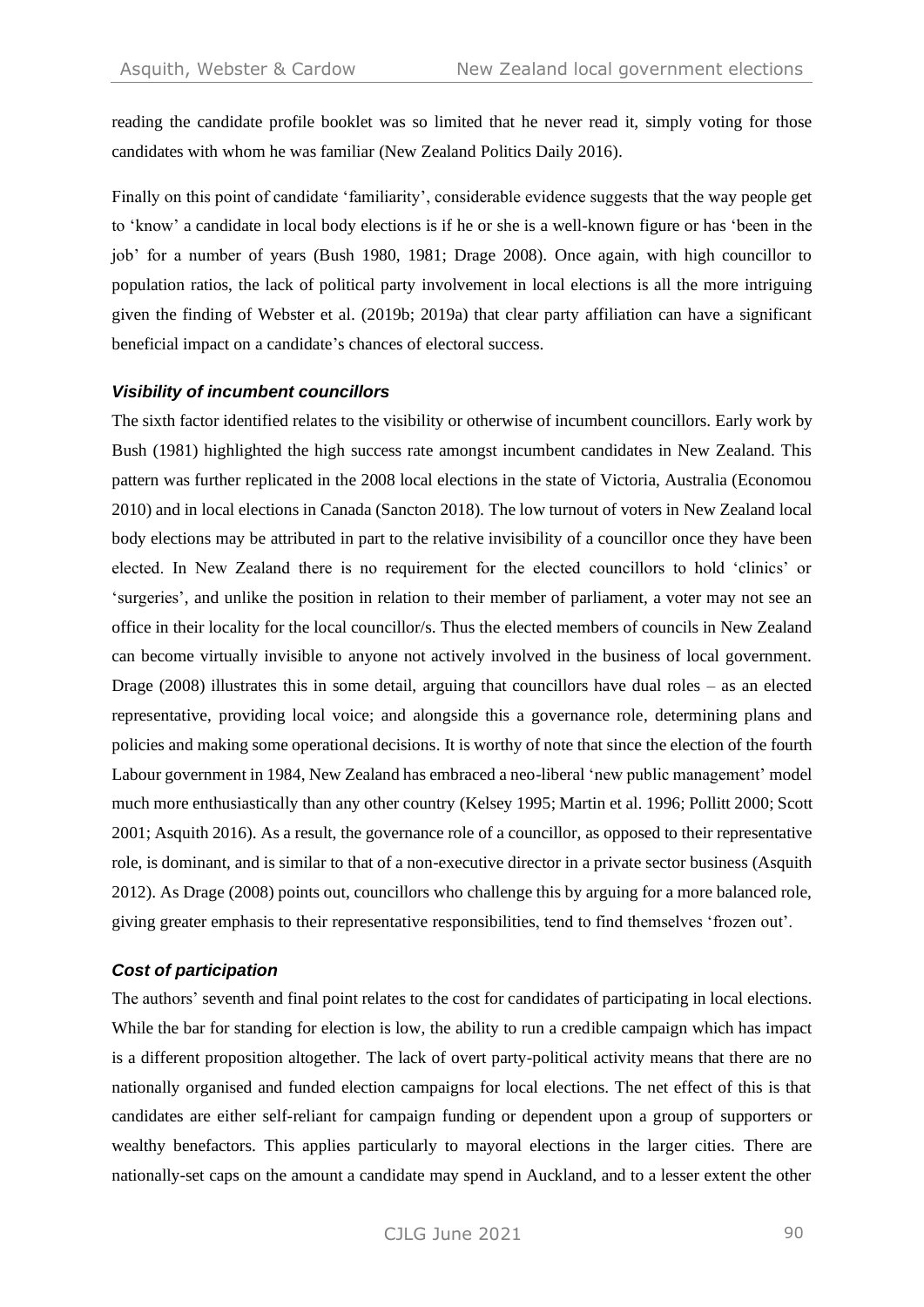reading the candidate profile booklet was so limited that he never read it, simply voting for those candidates with whom he was familiar (New Zealand Politics Daily 2016).

Finally on this point of candidate 'familiarity', considerable evidence suggests that the way people get to 'know' a candidate in local body elections is if he or she is a well-known figure or has 'been in the job' for a number of years (Bush 1980, 1981; Drage 2008). Once again, with high councillor to population ratios, the lack of political party involvement in local elections is all the more intriguing given the finding of Webster et al. (2019b; 2019a) that clear party affiliation can have a significant beneficial impact on a candidate's chances of electoral success.

#### *Visibility of incumbent councillors*

The sixth factor identified relates to the visibility or otherwise of incumbent councillors. Early work by Bush (1981) highlighted the high success rate amongst incumbent candidates in New Zealand. This pattern was further replicated in the 2008 local elections in the state of Victoria, Australia (Economou 2010) and in local elections in Canada (Sancton 2018). The low turnout of voters in New Zealand local body elections may be attributed in part to the relative invisibility of a councillor once they have been elected. In New Zealand there is no requirement for the elected councillors to hold 'clinics' or 'surgeries', and unlike the position in relation to their member of parliament, a voter may not see an office in their locality for the local councillor/s. Thus the elected members of councils in New Zealand can become virtually invisible to anyone not actively involved in the business of local government. Drage (2008) illustrates this in some detail, arguing that councillors have dual roles – as an elected representative, providing local voice; and alongside this a governance role, determining plans and policies and making some operational decisions. It is worthy of note that since the election of the fourth Labour government in 1984, New Zealand has embraced a neo-liberal 'new public management' model much more enthusiastically than any other country (Kelsey 1995; Martin et al. 1996; Pollitt 2000; Scott 2001; Asquith 2016). As a result, the governance role of a councillor, as opposed to their representative role, is dominant, and is similar to that of a non-executive director in a private sector business (Asquith 2012). As Drage (2008) points out, councillors who challenge this by arguing for a more balanced role, giving greater emphasis to their representative responsibilities, tend to find themselves 'frozen out'.

#### *Cost of participation*

The authors' seventh and final point relates to the cost for candidates of participating in local elections. While the bar for standing for election is low, the ability to run a credible campaign which has impact is a different proposition altogether. The lack of overt party-political activity means that there are no nationally organised and funded election campaigns for local elections. The net effect of this is that candidates are either self-reliant for campaign funding or dependent upon a group of supporters or wealthy benefactors. This applies particularly to mayoral elections in the larger cities. There are nationally-set caps on the amount a candidate may spend in Auckland, and to a lesser extent the other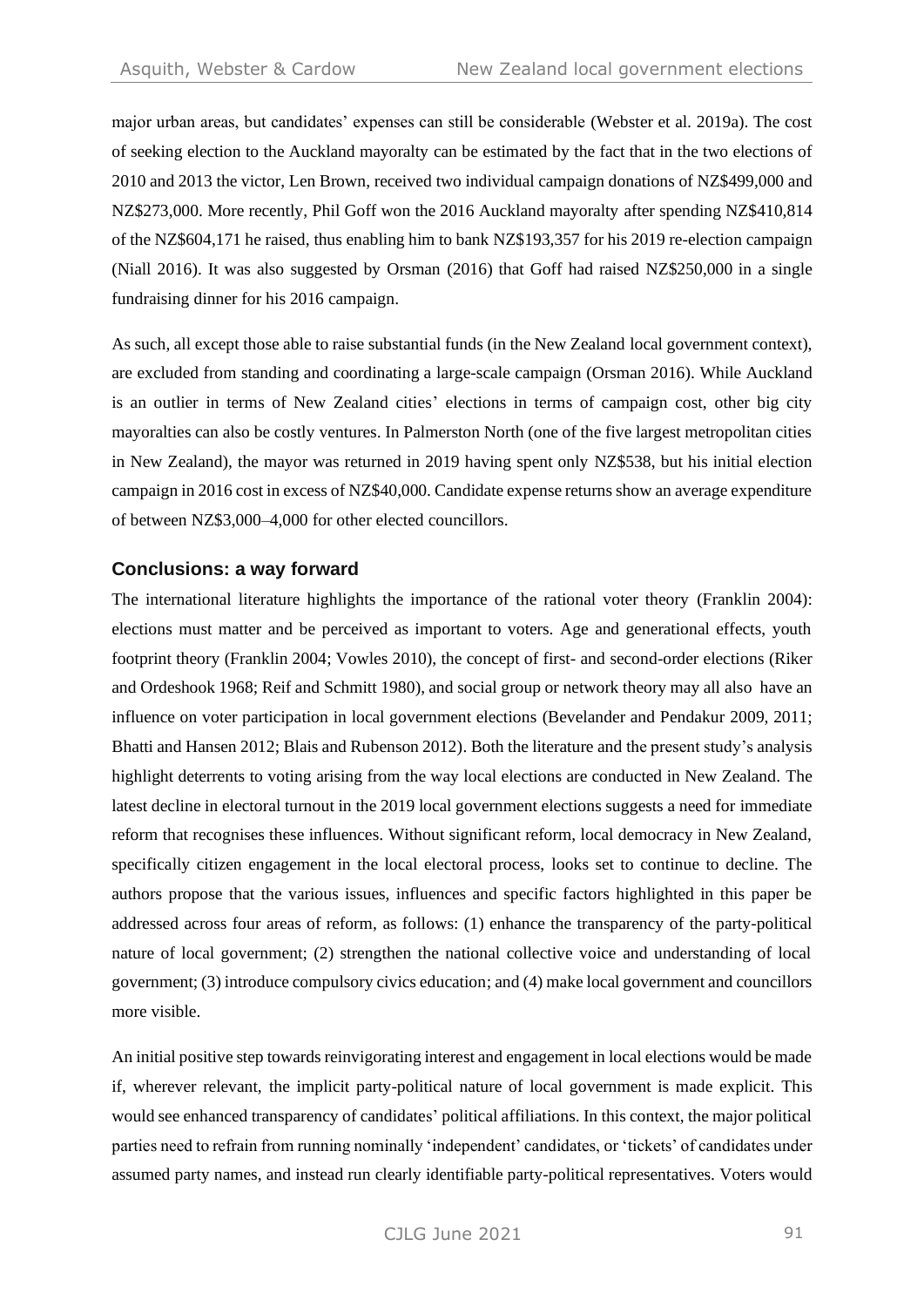major urban areas, but candidates' expenses can still be considerable (Webster et al. 2019a). The cost of seeking election to the Auckland mayoralty can be estimated by the fact that in the two elections of 2010 and 2013 the victor, Len Brown, received two individual campaign donations of NZ\$499,000 and NZ\$273,000. More recently, Phil Goff won the 2016 Auckland mayoralty after spending NZ\$410,814 of the NZ\$604,171 he raised, thus enabling him to bank NZ\$193,357 for his 2019 re-election campaign (Niall 2016). It was also suggested by Orsman (2016) that Goff had raised NZ\$250,000 in a single fundraising dinner for his 2016 campaign.

As such, all except those able to raise substantial funds (in the New Zealand local government context), are excluded from standing and coordinating a large-scale campaign (Orsman 2016). While Auckland is an outlier in terms of New Zealand cities' elections in terms of campaign cost, other big city mayoralties can also be costly ventures. In Palmerston North (one of the five largest metropolitan cities in New Zealand), the mayor was returned in 2019 having spent only NZ\$538, but his initial election campaign in 2016 cost in excess of NZ\$40,000. Candidate expense returns show an average expenditure of between NZ\$3,000–4,000 for other elected councillors.

## **Conclusions: a way forward**

The international literature highlights the importance of the rational voter theory (Franklin 2004): elections must matter and be perceived as important to voters. Age and generational effects, youth footprint theory (Franklin 2004; Vowles 2010), the concept of first- and second-order elections (Riker and Ordeshook 1968; Reif and Schmitt 1980), and social group or network theory may all also have an influence on voter participation in local government elections (Bevelander and Pendakur 2009, 2011; Bhatti and Hansen 2012; Blais and Rubenson 2012). Both the literature and the present study's analysis highlight deterrents to voting arising from the way local elections are conducted in New Zealand. The latest decline in electoral turnout in the 2019 local government elections suggests a need for immediate reform that recognises these influences. Without significant reform, local democracy in New Zealand, specifically citizen engagement in the local electoral process, looks set to continue to decline. The authors propose that the various issues, influences and specific factors highlighted in this paper be addressed across four areas of reform, as follows: (1) enhance the transparency of the party-political nature of local government; (2) strengthen the national collective voice and understanding of local government; (3) introduce compulsory civics education; and (4) make local government and councillors more visible.

An initial positive step towards reinvigorating interest and engagement in local elections would be made if, wherever relevant, the implicit party-political nature of local government is made explicit. This would see enhanced transparency of candidates' political affiliations. In this context, the major political parties need to refrain from running nominally 'independent' candidates, or 'tickets' of candidates under assumed party names, and instead run clearly identifiable party-political representatives. Voters would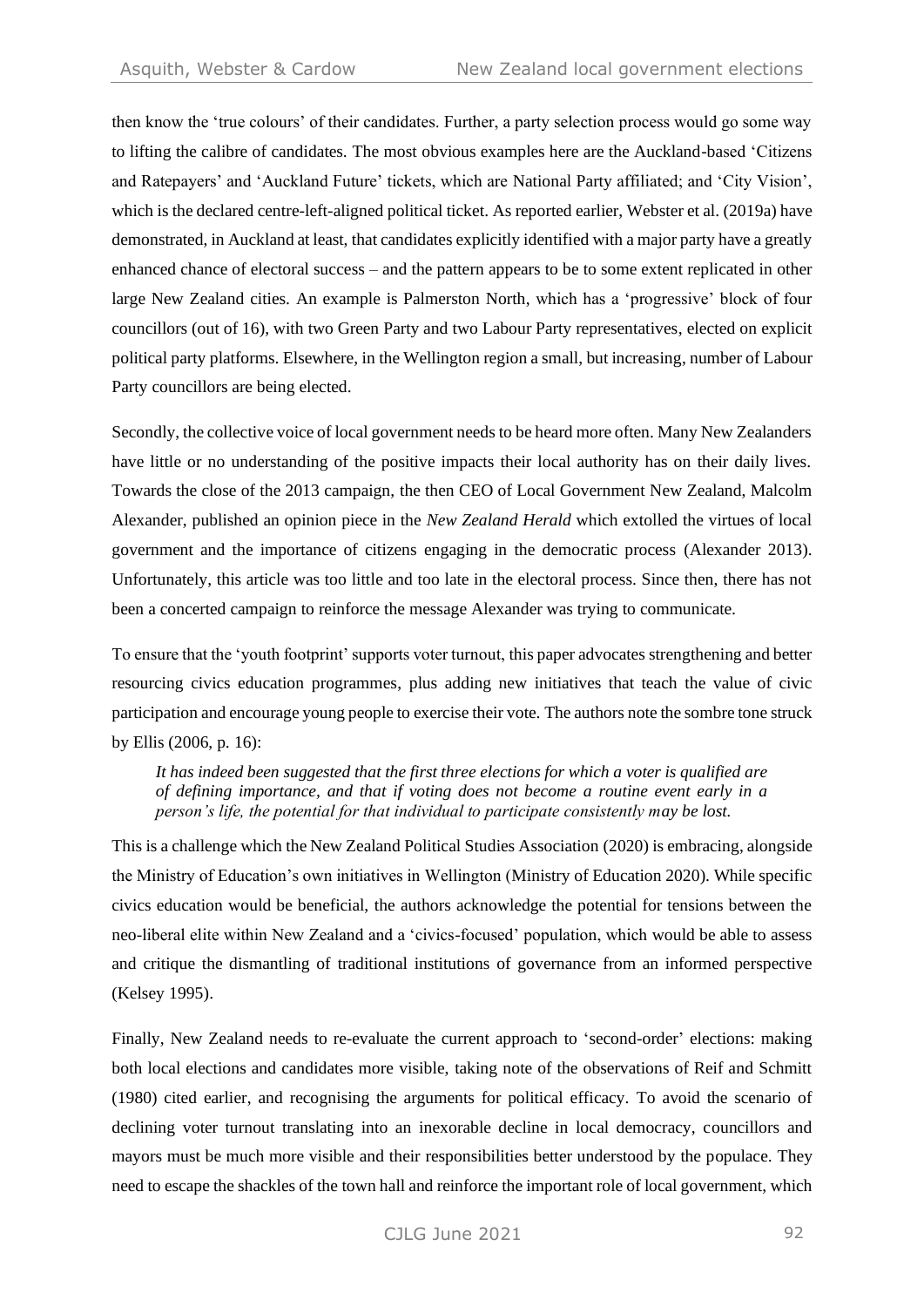then know the 'true colours' of their candidates. Further, a party selection process would go some way to lifting the calibre of candidates. The most obvious examples here are the Auckland-based 'Citizens and Ratepayers' and 'Auckland Future' tickets, which are National Party affiliated; and 'City Vision', which is the declared centre-left-aligned political ticket. As reported earlier, Webster et al. (2019a) have demonstrated, in Auckland at least, that candidates explicitly identified with a major party have a greatly enhanced chance of electoral success – and the pattern appears to be to some extent replicated in other large New Zealand cities. An example is Palmerston North, which has a 'progressive' block of four councillors (out of 16), with two Green Party and two Labour Party representatives, elected on explicit political party platforms. Elsewhere, in the Wellington region a small, but increasing, number of Labour Party councillors are being elected.

Secondly, the collective voice of local government needs to be heard more often. Many New Zealanders have little or no understanding of the positive impacts their local authority has on their daily lives. Towards the close of the 2013 campaign, the then CEO of Local Government New Zealand, Malcolm Alexander, published an opinion piece in the *New Zealand Herald* which extolled the virtues of local government and the importance of citizens engaging in the democratic process (Alexander 2013). Unfortunately, this article was too little and too late in the electoral process. Since then, there has not been a concerted campaign to reinforce the message Alexander was trying to communicate.

To ensure that the 'youth footprint' supports voter turnout, this paper advocates strengthening and better resourcing civics education programmes, plus adding new initiatives that teach the value of civic participation and encourage young people to exercise their vote. The authors note the sombre tone struck by Ellis (2006, p. 16):

*It has indeed been suggested that the first three elections for which a voter is qualified are of defining importance, and that if voting does not become a routine event early in a person's life, the potential for that individual to participate consistently may be lost.*

This is a challenge which the New Zealand Political Studies Association (2020) is embracing, alongside the Ministry of Education's own initiatives in Wellington (Ministry of Education 2020). While specific civics education would be beneficial, the authors acknowledge the potential for tensions between the neo-liberal elite within New Zealand and a 'civics-focused' population, which would be able to assess and critique the dismantling of traditional institutions of governance from an informed perspective (Kelsey 1995).

Finally, New Zealand needs to re-evaluate the current approach to 'second-order' elections: making both local elections and candidates more visible, taking note of the observations of Reif and Schmitt (1980) cited earlier, and recognising the arguments for political efficacy. To avoid the scenario of declining voter turnout translating into an inexorable decline in local democracy, councillors and mayors must be much more visible and their responsibilities better understood by the populace. They need to escape the shackles of the town hall and reinforce the important role of local government, which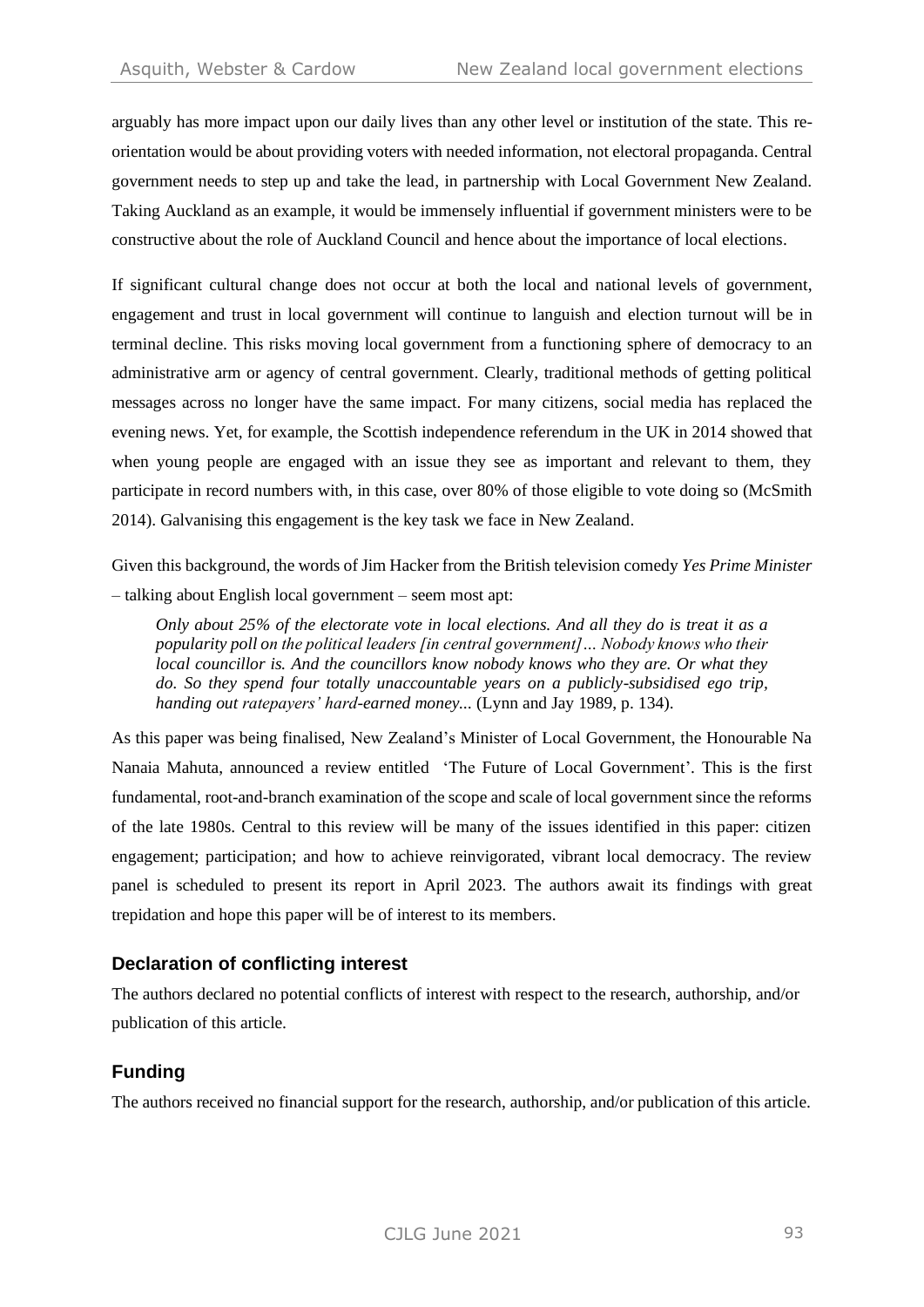arguably has more impact upon our daily lives than any other level or institution of the state. This reorientation would be about providing voters with needed information, not electoral propaganda. Central government needs to step up and take the lead, in partnership with Local Government New Zealand. Taking Auckland as an example, it would be immensely influential if government ministers were to be constructive about the role of Auckland Council and hence about the importance of local elections.

If significant cultural change does not occur at both the local and national levels of government, engagement and trust in local government will continue to languish and election turnout will be in terminal decline. This risks moving local government from a functioning sphere of democracy to an administrative arm or agency of central government. Clearly, traditional methods of getting political messages across no longer have the same impact. For many citizens, social media has replaced the evening news. Yet, for example, the Scottish independence referendum in the UK in 2014 showed that when young people are engaged with an issue they see as important and relevant to them, they participate in record numbers with, in this case, over 80% of those eligible to vote doing so (McSmith 2014). Galvanising this engagement is the key task we face in New Zealand.

Given this background, the words of Jim Hacker from the British television comedy *Yes Prime Minister* – talking about English local government – seem most apt:

*Only about 25% of the electorate vote in local elections. And all they do is treat it as a popularity poll on the political leaders [in central government]… Nobody knows who their local councillor is. And the councillors know nobody knows who they are. Or what they do. So they spend four totally unaccountable years on a publicly-subsidised ego trip, handing out ratepayers' hard-earned money...* (Lynn and Jay 1989, p. 134).

As this paper was being finalised, New Zealand's Minister of Local Government, the Honourable Na Nanaia Mahuta, announced a review entitled 'The Future of Local Government'. This is the first fundamental, root-and-branch examination of the scope and scale of local government since the reforms of the late 1980s. Central to this review will be many of the issues identified in this paper: citizen engagement; participation; and how to achieve reinvigorated, vibrant local democracy. The review panel is scheduled to present its report in April 2023. The authors await its findings with great trepidation and hope this paper will be of interest to its members.

## **Declaration of conflicting interest**

The authors declared no potential conflicts of interest with respect to the research, authorship, and/or publication of this article.

## **Funding**

The authors received no financial support for the research, authorship, and/or publication of this article.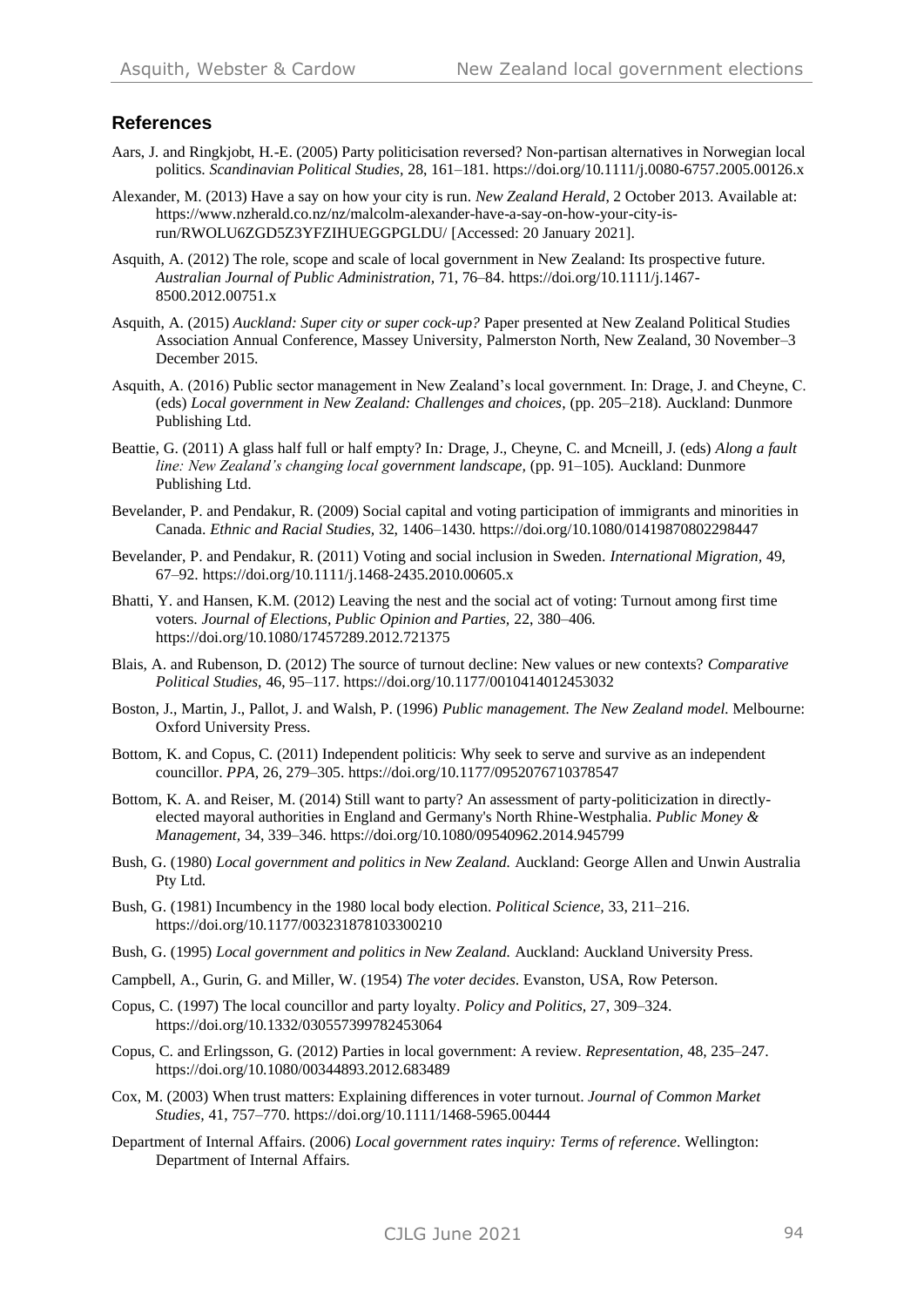#### **References**

- Aars, J. and Ringkjobt, H.-E. (2005) Party politicisation reversed? Non-partisan alternatives in Norwegian local politics. *Scandinavian Political Studies,* 28, 161–181. <https://doi.org/10.1111/j.0080-6757.2005.00126.x>
- Alexander, M. (2013) Have a say on how your city is run. *New Zealand Herald*, 2 October 2013. Available at: [https://www.nzherald.co.nz/nz/malcolm-alexander-have-a-say-on-how-your-city-is](https://www.nzherald.co.nz/nz/malcolm-alexander-have-a-say-on-how-your-city-is-run/RWOLU6ZGD5Z3YFZIHUEGGPGLDU/)[run/RWOLU6ZGD5Z3YFZIHUEGGPGLDU/](https://www.nzherald.co.nz/nz/malcolm-alexander-have-a-say-on-how-your-city-is-run/RWOLU6ZGD5Z3YFZIHUEGGPGLDU/) [Accessed: 20 January 2021].
- Asquith, A. (2012) The role, scope and scale of local government in New Zealand: Its prospective future. *Australian Journal of Public Administration,* 71, 76–84[. https://doi.org/10.1111/j.1467-](https://doi.org/10.1111/j.1467-8500.2012.00751.x) [8500.2012.00751.x](https://doi.org/10.1111/j.1467-8500.2012.00751.x)
- Asquith, A. (2015) *Auckland: Super city or super cock-up?* Paper presented at New Zealand Political Studies Association Annual Conference, Massey University, Palmerston North, New Zealand, 30 November–3 December 2015.
- Asquith, A. (2016) Public sector management in New Zealand's local government. In: Drage, J. and Cheyne, C. (eds) *Local government in New Zealand: Challenges and choices*, (pp. 205–218). Auckland: Dunmore Publishing Ltd.
- Beattie, G. (2011) A glass half full or half empty? In*:* Drage, J., Cheyne, C. and Mcneill, J. (eds) *Along a fault line: New Zealand's changing local government landscape,* (pp. 91–105)*.* Auckland: Dunmore Publishing Ltd.
- Bevelander, P. and Pendakur, R. (2009) Social capital and voting participation of immigrants and minorities in Canada. *Ethnic and Racial Studies,* 32, 1406–1430.<https://doi.org/10.1080/01419870802298447>
- Bevelander, P. and Pendakur, R. (2011) Voting and social inclusion in Sweden. *International Migration,* 49, 67–92.<https://doi.org/10.1111/j.1468-2435.2010.00605.x>
- Bhatti, Y. and Hansen, K.M. (2012) Leaving the nest and the social act of voting: Turnout among first time voters. *Journal of Elections, Public Opinion and Parties,* 22, 380–406. <https://doi.org/10.1080/17457289.2012.721375>
- Blais, A. and Rubenson, D. (2012) The source of turnout decline: New values or new contexts? *Comparative Political Studies,* 46, 95–117.<https://doi.org/10.1177/0010414012453032>
- Boston, J., Martin, J., Pallot, J. and Walsh, P. (1996) *Public management. The New Zealand model.* Melbourne: Oxford University Press.
- Bottom, K. and Copus, C. (2011) Independent politicis: Why seek to serve and survive as an independent councillor. *PPA,* 26, 279–305.<https://doi.org/10.1177/0952076710378547>
- Bottom, K. A. and Reiser, M. (2014) Still want to party? An assessment of party-politicization in directlyelected mayoral authorities in England and Germany's North Rhine-Westphalia. *Public Money & Management,* 34, 339–346[. https://doi.org/10.1080/09540962.2014.945799](https://doi.org/10.1080/09540962.2014.945799)
- Bush, G. (1980) *Local government and politics in New Zealand.* Auckland: George Allen and Unwin Australia Pty Ltd.
- Bush, G. (1981) Incumbency in the 1980 local body election. *Political Science,* 33, 211–216. <https://doi.org/10.1177/003231878103300210>
- Bush, G. (1995) *Local government and politics in New Zealand.* Auckland: Auckland University Press.
- Campbell, A., Gurin, G. and Miller, W. (1954) *The voter decides*. Evanston, USA, Row Peterson.
- Copus, C. (1997) The local councillor and party loyalty. *Policy and Politics,* 27, 309–324. <https://doi.org/10.1332/030557399782453064>
- Copus, C. and Erlingsson, G. (2012) Parties in local government: A review. *Representation,* 48, 235–247. <https://doi.org/10.1080/00344893.2012.683489>
- Cox, M. (2003) When trust matters: Explaining differences in voter turnout. *Journal of Common Market Studies,* 41, 757–770.<https://doi.org/10.1111/1468-5965.00444>
- Department of Internal Affairs. (2006) *Local government rates inquiry: Terms of reference*. Wellington: Department of Internal Affairs.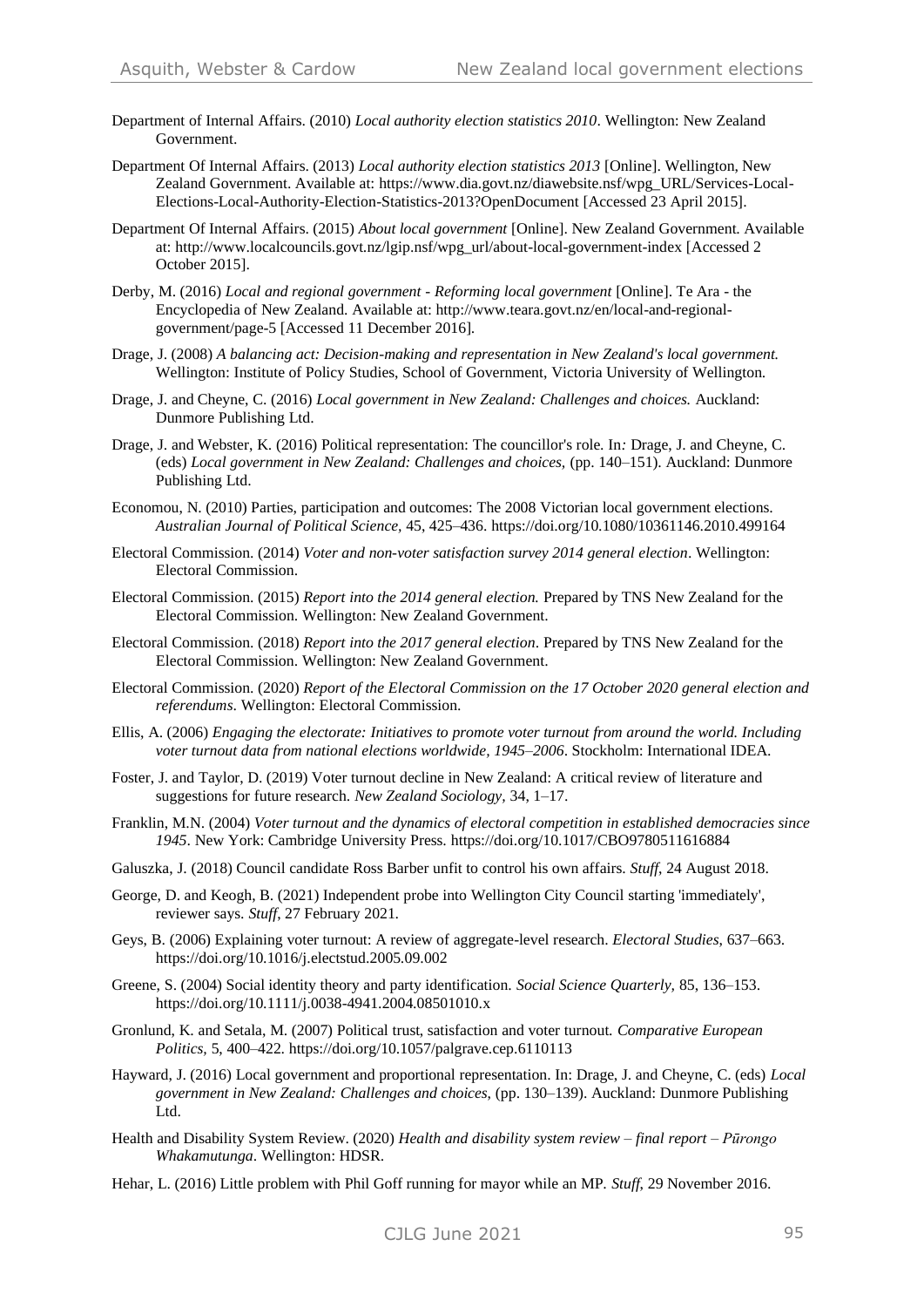- Department of Internal Affairs. (2010) *Local authority election statistics 2010*. Wellington: New Zealand Government.
- Department Of Internal Affairs. (2013) *Local authority election statistics 2013* [Online]. Wellington, New Zealand Government. Available at: [https://www.dia.govt.nz/diawebsite.nsf/wpg\\_URL/Services-Local-](https://www.dia.govt.nz/diawebsite.nsf/wpg_URL/Services-Local-Elections-Local-Authority-Election-Statistics-2013?OpenDocument)[Elections-Local-Authority-Election-Statistics-2013?OpenDocument](https://www.dia.govt.nz/diawebsite.nsf/wpg_URL/Services-Local-Elections-Local-Authority-Election-Statistics-2013?OpenDocument) [Accessed 23 April 2015].
- Department Of Internal Affairs. (2015) *About local government* [Online]. New Zealand Government. Available at: [http://www.localcouncils.govt.nz/lgip.nsf/wpg\\_url/about-local-government-index](http://www.localcouncils.govt.nz/lgip.nsf/wpg_url/about-local-government-index) [Accessed 2 October 2015].
- Derby, M. (2016) *Local and regional government - Reforming local government* [Online]. Te Ara the Encyclopedia of New Zealand. Available at[: http://www.teara.govt.nz/en/local-and-regional](http://www.teara.govt.nz/en/local-and-regional-government/page-5)[government/page-5](http://www.teara.govt.nz/en/local-and-regional-government/page-5) [Accessed 11 December 2016].
- Drage, J. (2008) *A balancing act: Decision-making and representation in New Zealand's local government.*  Wellington: Institute of Policy Studies, School of Government, Victoria University of Wellington.
- Drage, J. and Cheyne, C. (2016) *Local government in New Zealand: Challenges and choices.* Auckland: Dunmore Publishing Ltd.
- Drage, J. and Webster, K. (2016) Political representation: The councillor's role. In*:* Drage, J. and Cheyne, C. (eds) *Local government in New Zealand: Challenges and choices,* (pp. 140–151). Auckland: Dunmore Publishing Ltd.
- Economou, N. (2010) Parties, participation and outcomes: The 2008 Victorian local government elections. *Australian Journal of Political Science,* 45, 425–436.<https://doi.org/10.1080/10361146.2010.499164>
- Electoral Commission. (2014) *Voter and non-voter satisfaction survey 2014 general election*. Wellington: Electoral Commission.
- Electoral Commission. (2015) *Report into the 2014 general election.* Prepared by TNS New Zealand for the Electoral Commission. Wellington: New Zealand Government.
- Electoral Commission. (2018) *Report into the 2017 general election*. Prepared by TNS New Zealand for the Electoral Commission. Wellington: New Zealand Government.
- Electoral Commission. (2020) *Report of the Electoral Commission on the 17 October 2020 general election and referendums*. Wellington: Electoral Commission.
- Ellis, A. (2006) *Engaging the electorate: Initiatives to promote voter turnout from around the world. Including voter turnout data from national elections worldwide, 1945–2006*. Stockholm: International IDEA.
- Foster, J. and Taylor, D. (2019) Voter turnout decline in New Zealand: A critical review of literature and suggestions for future research. *New Zealand Sociology,* 34, 1–17.
- Franklin, M.N. (2004) *Voter turnout and the dynamics of electoral competition in established democracies since 1945*. New York: Cambridge University Press.<https://doi.org/10.1017/CBO9780511616884>
- Galuszka, J. (2018) Council candidate Ross Barber unfit to control his own affairs. *Stuff*, 24 August 2018.
- George, D. and Keogh, B. (2021) Independent probe into Wellington City Council starting 'immediately', reviewer says. *Stuff*, 27 February 2021.
- Geys, B. (2006) Explaining voter turnout: A review of aggregate-level research. *Electoral Studies*, 637–663. https://doi.org/10.1016/j.electstud.2005.09.002
- Greene, S. (2004) Social identity theory and party identification. *Social Science Quarterly,* 85, 136–153. <https://doi.org/10.1111/j.0038-4941.2004.08501010.x>
- Gronlund, K. and Setala, M. (2007) Political trust, satisfaction and voter turnout. *Comparative European Politics,* 5, 400–422.<https://doi.org/10.1057/palgrave.cep.6110113>
- Hayward, J. (2016) Local government and proportional representation. In: Drage, J. and Cheyne, C. (eds) *Local government in New Zealand: Challenges and choices*, (pp. 130–139). Auckland: Dunmore Publishing Ltd.
- Health and Disability System Review. (2020) *Health and disability system review – final report – Pūrongo Whakamutunga*. Wellington: HDSR.
- Hehar, L. (2016) Little problem with Phil Goff running for mayor while an MP. *Stuff*, 29 November 2016.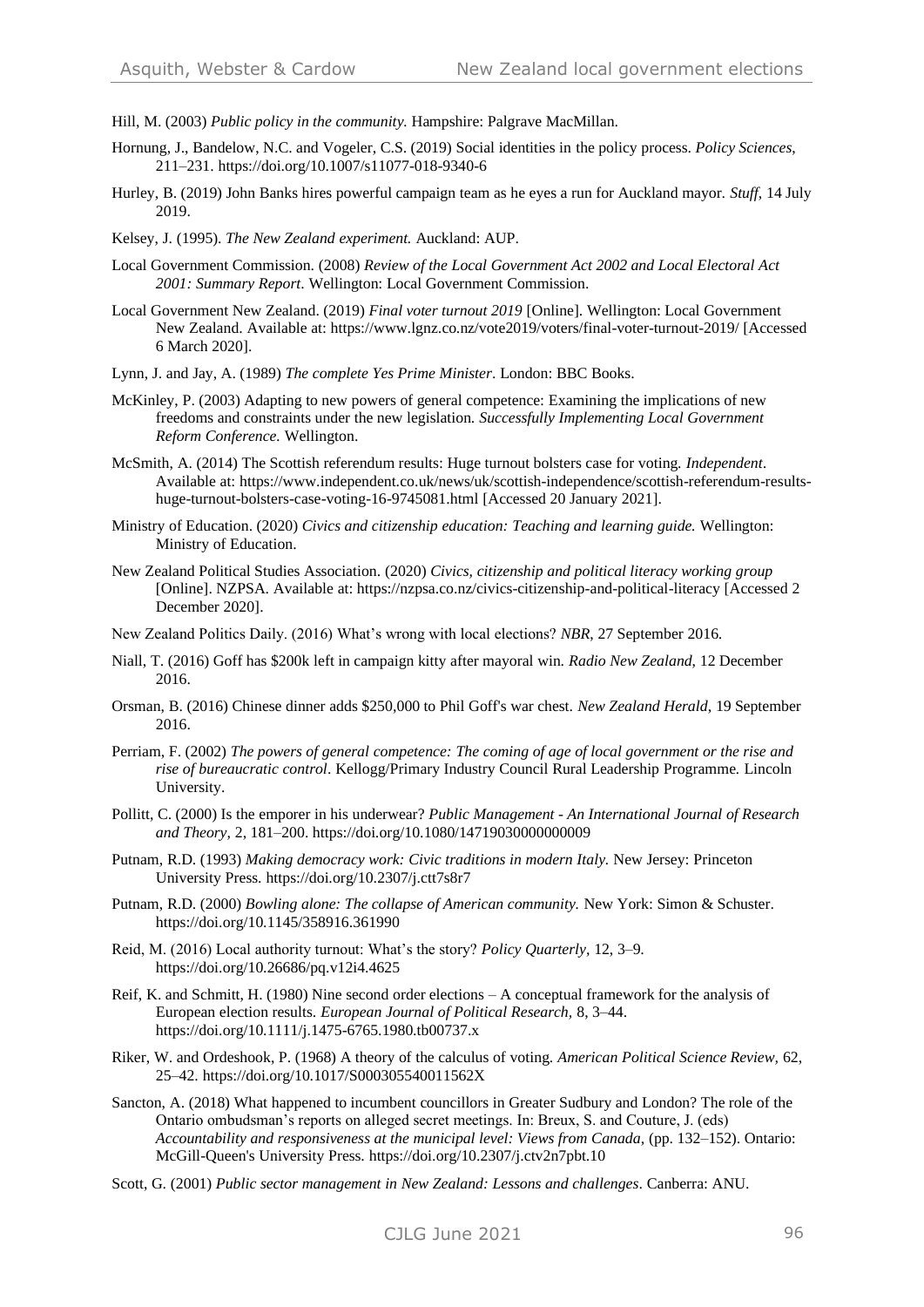Hill, M. (2003) *Public policy in the community.* Hampshire: Palgrave MacMillan.

- Hornung, J., Bandelow, N.C. and Vogeler, C.S. (2019) Social identities in the policy process. *Policy Sciences*, 211–231.<https://doi.org/10.1007/s11077-018-9340-6>
- Hurley, B. (2019) John Banks hires powerful campaign team as he eyes a run for Auckland mayor. *Stuff*, 14 July 2019.
- Kelsey, J. (1995). *The New Zealand experiment.* Auckland: AUP.
- Local Government Commission. (2008) *Review of the Local Government Act 2002 and Local Electoral Act 2001: Summary Report*. Wellington: Local Government Commission.
- Local Government New Zealand. (2019) *Final voter turnout 2019* [Online]. Wellington: Local Government New Zealand. Available at:<https://www.lgnz.co.nz/vote2019/voters/final-voter-turnout-2019/> [Accessed 6 March 2020].
- Lynn, J. and Jay, A. (1989) *The complete Yes Prime Minister*. London: BBC Books.
- McKinley, P. (2003) Adapting to new powers of general competence: Examining the implications of new freedoms and constraints under the new legislation. *Successfully Implementing Local Government Reform Conference.* Wellington.
- McSmith, A. (2014) The Scottish referendum results: Huge turnout bolsters case for voting. *Independent*. Available at: [https://www.independent.co.uk/news/uk/scottish-independence/scottish-referendum-results](https://www.independent.co.uk/news/uk/scottish-independence/scottish-referendum-results-huge-turnout-bolsters-case-voting-16-9745081.html)[huge-turnout-bolsters-case-voting-16-9745081.html](https://www.independent.co.uk/news/uk/scottish-independence/scottish-referendum-results-huge-turnout-bolsters-case-voting-16-9745081.html) [Accessed 20 January 2021].
- Ministry of Education. (2020) *Civics and citizenship education: Teaching and learning guide.* Wellington: Ministry of Education.
- New Zealand Political Studies Association. (2020) *Civics, citizenship and political literacy working group*  [Online]. NZPSA. Available at:<https://nzpsa.co.nz/civics-citizenship-and-political-literacy> [Accessed 2 December 2020].
- New Zealand Politics Daily. (2016) What's wrong with local elections? *NBR*, 27 September 2016.
- Niall, T. (2016) Goff has \$200k left in campaign kitty after mayoral win. *Radio New Zealand*, 12 December 2016.
- Orsman, B. (2016) Chinese dinner adds \$250,000 to Phil Goff's war chest. *New Zealand Herald*, 19 September 2016.
- Perriam, F. (2002) *The powers of general competence: The coming of age of local government or the rise and rise of bureaucratic control*. Kellogg/Primary Industry Council Rural Leadership Programme*.* Lincoln University.
- Pollitt, C. (2000) Is the emporer in his underwear? *Public Management - An International Journal of Research and Theory,* 2, 181–200.<https://doi.org/10.1080/14719030000000009>
- Putnam, R.D. (1993) *Making democracy work: Civic traditions in modern Italy.* New Jersey: Princeton University Press.<https://doi.org/10.2307/j.ctt7s8r7>
- Putnam, R.D. (2000) *Bowling alone: The collapse of American community.* New York: Simon & Schuster. <https://doi.org/10.1145/358916.361990>
- Reid, M. (2016) Local authority turnout: What's the story? *Policy Quarterly,* 12, 3–9. <https://doi.org/10.26686/pq.v12i4.4625>
- Reif, K. and Schmitt, H. (1980) Nine second order elections A conceptual framework for the analysis of European election results. *European Journal of Political Research,* 8, 3–44. <https://doi.org/10.1111/j.1475-6765.1980.tb00737.x>
- Riker, W. and Ordeshook, P. (1968) A theory of the calculus of voting. *American Political Science Review,* 62, 25–42.<https://doi.org/10.1017/S000305540011562X>
- Sancton, A. (2018) What happened to incumbent councillors in Greater Sudbury and London? The role of the Ontario ombudsman's reports on alleged secret meetings. In: Breux, S. and Couture, J. (eds) *Accountability and responsiveness at the municipal level: Views from Canada*, (pp. 132–152). Ontario: McGill-Queen's University Press[. https://doi.org/10.2307/j.ctv2n7pbt.10](https://doi.org/10.2307/j.ctv2n7pbt.10)
- Scott, G. (2001) *Public sector management in New Zealand: Lessons and challenges*. Canberra: ANU.